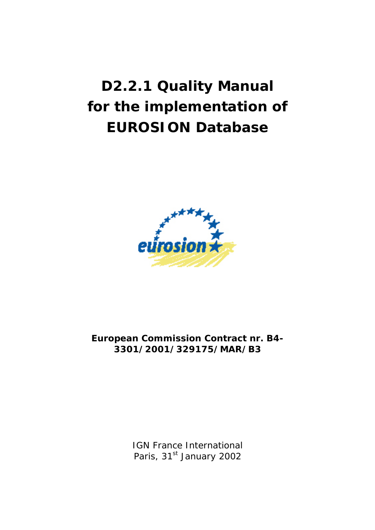# **D2.2.1 Quality Manual for the implementation of EUROSION Database**



**European Commission Contract nr. B4- 3301/2001/329175/MAR/B3** 

> IGN France International Paris, 31<sup>st</sup> January 2002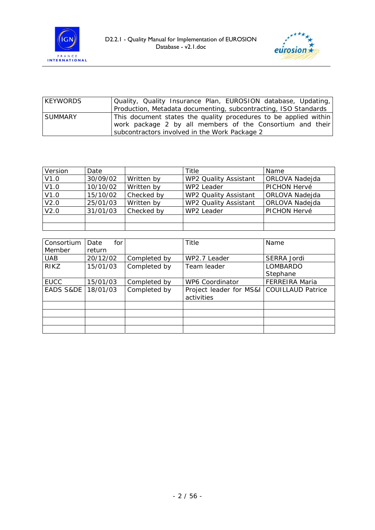



| <b>KEYWORDS</b> | Quality, Quality Insurance Plan, EUROSION database, Updating,    |
|-----------------|------------------------------------------------------------------|
|                 | Production, Metadata documenting, subcontracting, ISO Standards  |
| <b>SUMMARY</b>  | This document states the quality procedures to be applied within |
|                 | work package 2 by all members of the Consortium and their        |
|                 | subcontractors involved in the Work Package 2                    |

| Version | Date     |            | Title                 | Name           |
|---------|----------|------------|-----------------------|----------------|
| V1.0    | 30/09/02 | Written by | WP2 Quality Assistant | ORLOVA Nadejda |
| V1.0    | 10/10/02 | Written by | WP2 Leader            | PICHON Hervé   |
| V1.0    | 15/10/02 | Checked by | WP2 Quality Assistant | ORLOVA Nadejda |
| V2.0    | 25/01/03 | Written by | WP2 Quality Assistant | ORLOVA Nadejda |
| V2.0    | 31/01/03 | Checked by | WP2 Leader            | PICHON Hervé   |
|         |          |            |                       |                |
|         |          |            |                       |                |

| Consortium  | for<br>Date |              | Title                                                   | Name                  |
|-------------|-------------|--------------|---------------------------------------------------------|-----------------------|
| Member      | return      |              |                                                         |                       |
| <b>UAB</b>  | 20/12/02    | Completed by | WP2.7 Leader                                            | SERRA Jordi           |
| <b>RIKZ</b> | 15/01/03    | Completed by | Team leader                                             | <b>LOMBARDO</b>       |
|             |             |              |                                                         | Stephane              |
| <b>EUCC</b> | 15/01/03    | Completed by | <b>WP6 Coordinator</b>                                  | <b>FERREIRA Maria</b> |
| EADS S&DE   | 18/01/03    | Completed by | Project leader for MS&I COUILLAUD Patrice<br>activities |                       |
|             |             |              |                                                         |                       |
|             |             |              |                                                         |                       |
|             |             |              |                                                         |                       |
|             |             |              |                                                         |                       |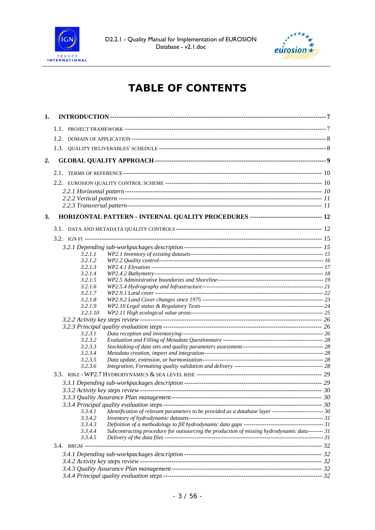



# **TABLE OF CONTENTS**

| 1. |                    |                                                                                                         |  |
|----|--------------------|---------------------------------------------------------------------------------------------------------|--|
|    |                    |                                                                                                         |  |
|    |                    |                                                                                                         |  |
|    |                    |                                                                                                         |  |
|    |                    |                                                                                                         |  |
| 2. |                    |                                                                                                         |  |
|    |                    |                                                                                                         |  |
|    |                    |                                                                                                         |  |
|    |                    |                                                                                                         |  |
|    |                    |                                                                                                         |  |
|    |                    |                                                                                                         |  |
| 3. |                    | HORIZONTAL PATTERN - INTERNAL QUALITY PROCEDURES ----------------------------------- 12                 |  |
|    |                    |                                                                                                         |  |
|    |                    |                                                                                                         |  |
|    |                    |                                                                                                         |  |
|    | 3.2.1.1            |                                                                                                         |  |
|    | 3.2.1.2            |                                                                                                         |  |
|    | 3.2.1.3            |                                                                                                         |  |
|    | 3.2.1.4            |                                                                                                         |  |
|    | 3.2.1.5            |                                                                                                         |  |
|    | 3.2.1.6            |                                                                                                         |  |
|    | 3.2.1.7            |                                                                                                         |  |
|    | 3.2.1.8<br>3.2.1.9 |                                                                                                         |  |
|    | 3.2.1.10           |                                                                                                         |  |
|    |                    |                                                                                                         |  |
|    |                    |                                                                                                         |  |
|    | 3.2.3.1            |                                                                                                         |  |
|    | 3.2.3.2            |                                                                                                         |  |
|    | 3.2.3.3            |                                                                                                         |  |
|    | 3.2.3.4            |                                                                                                         |  |
|    | 3.2.3.5            |                                                                                                         |  |
|    | 3.2.3.6            |                                                                                                         |  |
|    |                    |                                                                                                         |  |
|    |                    |                                                                                                         |  |
|    |                    |                                                                                                         |  |
|    |                    |                                                                                                         |  |
|    |                    |                                                                                                         |  |
|    | 3.3.4.1            | Identification of relevant parameters to be provided as a database layer --------------------------- 30 |  |
|    | 3.3.4.2            |                                                                                                         |  |
|    | 3.3.4.3            |                                                                                                         |  |
|    | 3.3.4.4<br>3.3.4.5 | Subcontracting procedure for outsourcing the production of missing hydrodynamic data-------- 31         |  |
|    |                    |                                                                                                         |  |
|    |                    |                                                                                                         |  |
|    |                    |                                                                                                         |  |
|    |                    |                                                                                                         |  |
|    |                    |                                                                                                         |  |
|    |                    |                                                                                                         |  |
|    |                    |                                                                                                         |  |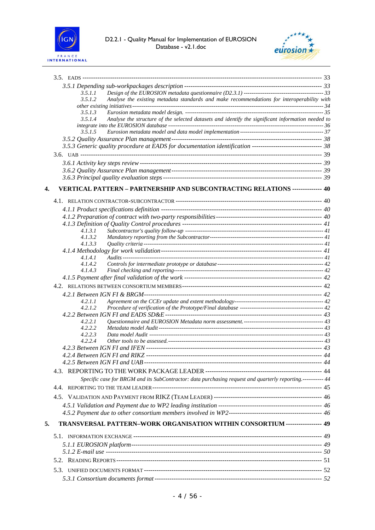



|    | 3.5.1.1                                                                                                        |  |
|----|----------------------------------------------------------------------------------------------------------------|--|
|    | Analyse the existing metadata standards and make recommendations for interoperability with<br>3.5.1.2          |  |
|    | 3.5.1.3                                                                                                        |  |
|    | Analyse the structure of the selected datasets and identify the significant information needed to<br>3.5.1.4   |  |
|    | 3.5.1.5                                                                                                        |  |
|    |                                                                                                                |  |
|    | 38 S.5.3 Generic quality procedure at EADS for documentation identification ---------------------------------- |  |
|    |                                                                                                                |  |
|    |                                                                                                                |  |
|    |                                                                                                                |  |
|    |                                                                                                                |  |
|    |                                                                                                                |  |
| 4. | VERTICAL PATTERN - PARTNERSHIP AND SUBCONTRACTING RELATIONS -------------- 40                                  |  |
|    |                                                                                                                |  |
|    |                                                                                                                |  |
|    |                                                                                                                |  |
|    |                                                                                                                |  |
|    | 4.1.3.1<br>4.1.3.2                                                                                             |  |
|    | 4.1.3.3                                                                                                        |  |
|    |                                                                                                                |  |
|    | 4.1.4.1                                                                                                        |  |
|    | 4.1.4.2                                                                                                        |  |
|    | 4.1.4.3                                                                                                        |  |
|    |                                                                                                                |  |
|    |                                                                                                                |  |
|    |                                                                                                                |  |
|    | 4.2.1.1<br>4.2.1.2                                                                                             |  |
|    |                                                                                                                |  |
|    | 4.2.2.1                                                                                                        |  |
|    | 4.2.2.2                                                                                                        |  |
|    | 4.2.2.3                                                                                                        |  |
|    | 4.2.2.4                                                                                                        |  |
|    |                                                                                                                |  |
|    |                                                                                                                |  |
|    |                                                                                                                |  |
|    |                                                                                                                |  |
|    | Specific case for BRGM and its SubContractor: data purchasing request and quarterly reporting.----------- 44   |  |
|    |                                                                                                                |  |
|    |                                                                                                                |  |
|    |                                                                                                                |  |
|    |                                                                                                                |  |
| 5. | TRANSVERSAL PATTERN-WORK ORGANISATION WITHIN CONSORTIUM ----------------- 49                                   |  |
|    |                                                                                                                |  |
|    |                                                                                                                |  |
|    |                                                                                                                |  |
|    |                                                                                                                |  |
|    |                                                                                                                |  |
|    |                                                                                                                |  |
|    |                                                                                                                |  |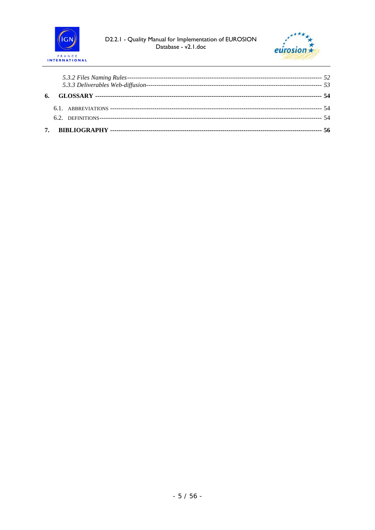



| 6. |  |
|----|--|
|    |  |
|    |  |
|    |  |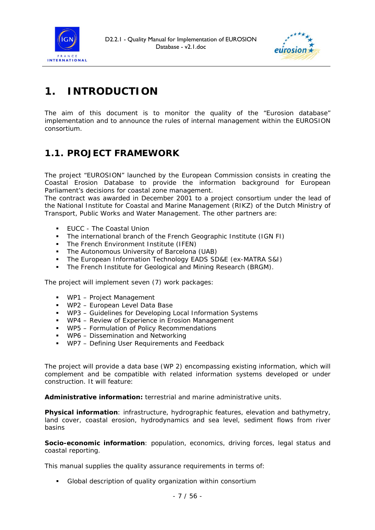



# **1. INTRODUCTION**

The aim of this document is to monitor the quality of the "Eurosion database" implementation and to announce the rules of internal management within the EUROSION consortium.

# *1.1. PROJECT FRAMEWORK*

The project "EUROSION" launched by the European Commission consists in creating the Coastal Erosion Database to provide the information background for European Parliament's decisions for coastal zone management.

The contract was awarded in December 2001 to a project consortium under the lead of the National Institute for Coastal and Marine Management (RIKZ) of the Dutch Ministry of Transport, Public Works and Water Management. The other partners are:

- **EUCC The Coastal Union**
- The international branch of the French Geographic Institute (IGN FI)
- The French Environment Institute (IFEN)
- The Autonomous University of Barcelona (UAB)
- **The European Information Technology EADS SD&E (ex-MATRA S&I)**
- The French Institute for Geological and Mining Research (BRGM).

The project will implement seven (7) work packages:

- WP1 Project Management
- WP2 European Level Data Base
- WP3 Guidelines for Developing Local Information Systems
- WP4 Review of Experience in Erosion Management
- WP5 Formulation of Policy Recommendations
- **WP6 Dissemination and Networking**
- WP7 Defining User Requirements and Feedback

The project will provide a data base (WP 2) encompassing existing information, which will complement and be compatible with related information systems developed or under construction. It will feature:

*Administrative information:* terrestrial and marine administrative units.

*Physical information:* infrastructure, hydrographic features, elevation and bathymetry, land cover, coastal erosion, hydrodynamics and sea level, sediment flows from river basins

**Socio-economic information**: population, economics, driving forces, legal status and coastal reporting.

This manual supplies the quality assurance requirements in terms of:

Global description of quality organization within consortium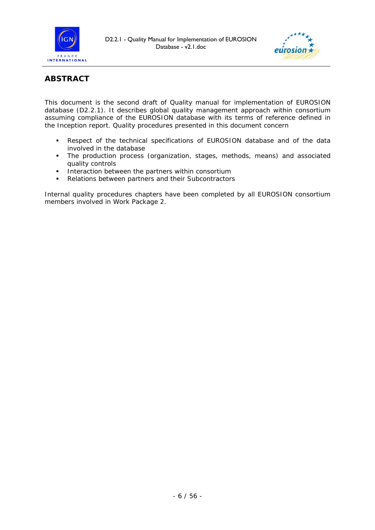



### **ABSTRACT**

This document is the second draft of Quality manual for implementation of EUROSION database (D2.2.1). It describes global quality management approach within consortium assuming compliance of the EUROSION database with its terms of reference defined in the Inception report. Quality procedures presented in this document concern

- Respect of the technical specifications of EUROSION database and of the data involved in the database
- The production process (organization, stages, methods, means) and associated quality controls
- **Interaction between the partners within consortium**
- Relations between partners and their Subcontractors

Internal quality procedures chapters have been completed by all EUROSION consortium members involved in Work Package 2.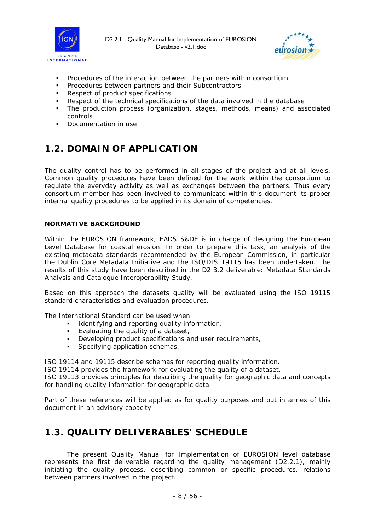



- Procedures of the interaction between the partners within consortium
- **Procedures between partners and their Subcontractors**
- Respect of product specifications
- Respect of the technical specifications of the data involved in the database
- The production process (organization, stages, methods, means) and associated controls
- Documentation in use

# *1.2. DOMAIN OF APPLICATION*

The quality control has to be performed in all stages of the project and at all levels. Common quality procedures have been defined for the work within the consortium to regulate the everyday activity as well as exchanges between the partners. Thus every consortium member has been involved to communicate within this document its proper internal quality procedures to be applied in its domain of competencies.

#### **NORMATIVE BACKGROUND**

Within the EUROSION framework, EADS S&DE is in charge of designing the European Level Database for coastal erosion. In order to prepare this task, an analysis of the existing metadata standards recommended by the European Commission, in particular the Dublin Core Metadata Initiative and the ISO/DIS 19115 has been undertaken. The results of this study have been described in the D2.3.2 deliverable: *Metadata Standards Analysis and Catalogue Interoperability Study.*

Based on this approach the datasets quality will be evaluated using the ISO 19115 standard characteristics and evaluation procedures.

The International Standard can be used when

- **IDENTIFY IDENTIFY IDENTIFY IDENTIFY IDENTIFY IDENTIFY IDENTIFY IDENTIFY CONST**
- **Evaluating the quality of a dataset,<br>
Developing product specifications a**
- Developing product specifications and user requirements,
- Specifying application schemas.

ISO 19114 and 19115 describe schemas for reporting quality information.

ISO 19114 provides the framework for evaluating the quality of a dataset.

ISO 19113 provides principles for describing the quality for geographic data and concepts for handling quality information for geographic data.

Part of these references will be applied as for quality purposes and put in annex of this document in an advisory capacity.

### *1.3. QUALITY DELIVERABLES' SCHEDULE*

The present *Quality Manual for Implementation of EUROSION level database* represents the first deliverable regarding the quality management (D2.2.1), mainly initiating the quality process, describing common or specific procedures, relations between partners involved in the project.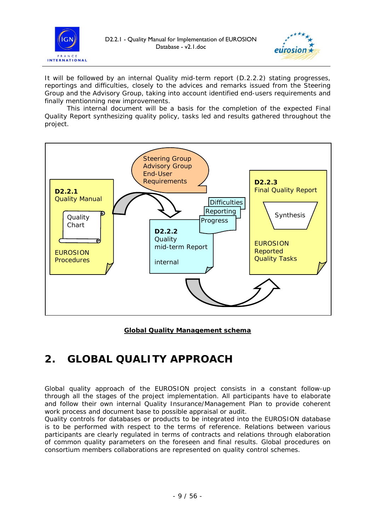



It will be followed by an internal *Quality mid-term report* (D.2.2.2) stating progresses, reportings and difficulties, closely to the advices and remarks issued from the Steering Group and the Advisory Group, taking into account identified end-users requirements and finally mentionning new improvements.

This internal document will be a basis for the completion of the expected *Final Quality Report* synthesizing quality policy, tasks led and results gathered throughout the project.



<sup>U</sup>**Global Quality Management schema**

# **2. GLOBAL QUALITY APPROACH**

Global quality approach of the EUROSION project consists in a constant follow-up through all the stages of the project implementation. All participants have to elaborate and follow their own internal Quality Insurance/Management Plan to provide coherent work process and document base to possible appraisal or audit.

Quality controls for databases or products to be integrated into the EUROSION database is to be performed with respect to the terms of reference. Relations between various participants are clearly regulated in terms of contracts and relations through elaboration of common quality parameters on the foreseen and final results. Global procedures on consortium members collaborations are represented on quality control schemes.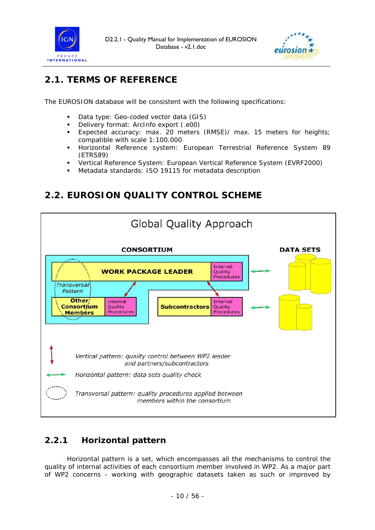



# *2.1. TERMS OF REFERENCE*

The EUROSION database will be consistent with the following specifications:

- Data type: Geo-coded vector data (GIS)
- Delivery format: ArcInfo export (.e00)
- Expected accuracy: max. 20 meters (RMSE)/ max. 15 meters for heights; compatible with scale 1:100.000
- Horizontal Reference system: European Terrestrial Reference System 89 (ETRS89)
- Vertical Reference System: European Vertical Reference System (EVRF2000)
- Metadata standards: ISO 19115 for metadata description

*2.2. EUROSION QUALITY CONTROL SCHEME* 



## **2.2.1 Horizontal pattern**

Horizontal pattern is a set, which encompasses all the mechanisms to control the quality of internal activities of each consortium member involved in WP2. As a major part of WP2 concerns - working with geographic datasets taken as such or improved by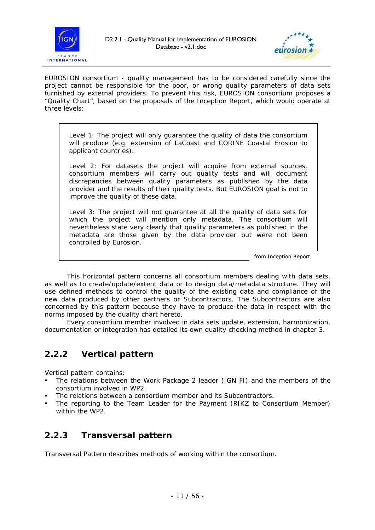



EUROSION consortium - quality management has to be considered carefully since the project cannot be responsible for the poor, or wrong quality parameters of data sets furnished by external providers. To prevent this risk, EUROSION consortium proposes a "Quality Chart", based on the proposals of the Inception Report, which would operate at three levels:

*Level 1*: The project will only guarantee the quality of data the consortium will produce (e.g. extension of LaCoast and CORINE Coastal Erosion to applicant countries).

*Level 2*: For datasets the project will acquire from external sources, consortium members will carry out quality tests and will document discrepancies between quality parameters as published by the data provider and the results of their quality tests. But EUROSION goal is not to improve the quality of these data.

*Level 3*: The project will not guarantee at all the quality of data sets for which the project will mention only metadata. The consortium will nevertheless state very clearly that quality parameters as published in the metadata are those given by the data provider but were not been controlled by Eurosion.

*from Inception Report*

This horizontal pattern concerns all consortium members dealing with data sets, as well as to create/update/extent data or to design data/metadata structure. They will use defined methods to control the quality of the existing data and compliance of the new data produced by other partners or Subcontractors. The Subcontractors are also concerned by this pattern because they have to produce the data in respect with the norms imposed by the quality chart hereto.

Every consortium member involved in data sets update, extension, harmonization, documentation or integration has detailed its own quality checking method in chapter 3.

### **2.2.2 Vertical pattern**

Vertical pattern contains:

- The relations between the Work Package 2 leader (IGN FI) and the members of the consortium involved in WP2.
- The relations between a consortium member and its Subcontractors.
- The reporting to the Team Leader for the Payment (RIKZ to Consortium Member) within the WP2.

### **2.2.3 Transversal pattern**

Transversal Pattern describes methods of working within the consortium.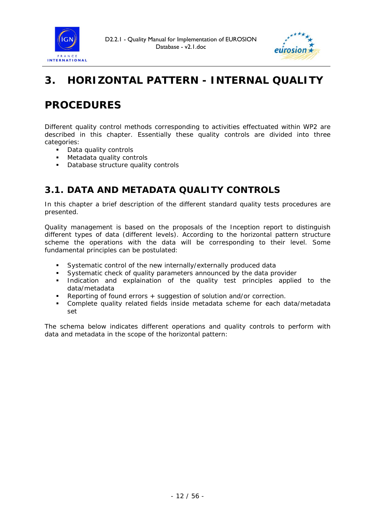



# **3. HORIZONTAL PATTERN - INTERNAL QUALITY**

# **PROCEDURES**

Different quality control methods corresponding to activities effectuated within WP2 are described in this chapter. Essentially these quality controls are divided into three categories:

- Data quality controls
- **Metadata quality controls**
- Database structure quality controls

# *3.1. DATA AND METADATA QUALITY CONTROLS*

In this chapter a brief description of the different standard quality tests procedures are presented.

Quality management is based on the proposals of the Inception report to distinguish different types of data (different levels). According to the horizontal pattern structure scheme the operations with the data will be corresponding to their level. Some fundamental principles can be postulated:

- Systematic control of the new internally/externally produced data
- Systematic check of quality parameters announced by the data provider
- Indication and explaination of the quality test principles applied to the data/metadata
- Reporting of found errors + suggestion of solution and/or correction.
- Complete quality related fields inside metadata scheme for each data/metadata set

The schema below indicates different operations and quality controls to perform with data and metadata in the scope of the horizontal pattern: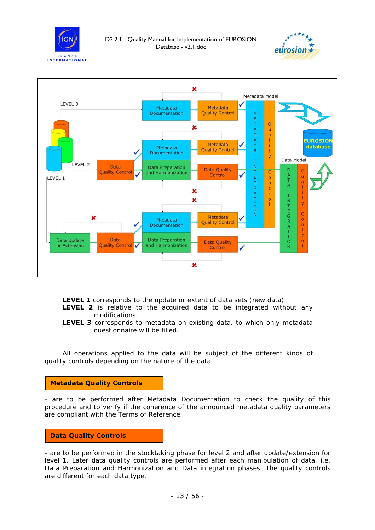





**LEVEL 1** corresponds to the update or extent of data sets (new data).

- **LEVEL 2** is relative to the acquired data to be integrated without any modifications.
- **LEVEL 3** corresponds to metadata on existing data, to which only metadata questionnaire will be filled.

All operations applied to the data will be subject of the different kinds of quality controls depending on the nature of the data.

#### **Metadata Quality Controls**

- are to be performed after Metadata Documentation to check the quality of this procedure and to verify if the coherence of the announced metadata quality parameters are compliant with the Terms of Reference.

#### **Data Quality Controls**

- are to be performed in the stocktaking phase for level 2 and after update/extension for level 1. Later data quality controls are performed after each manipulation of data, *i.e. Data Preparation and Harmonization* and *Data integration* phases. The quality controls are different for each data type.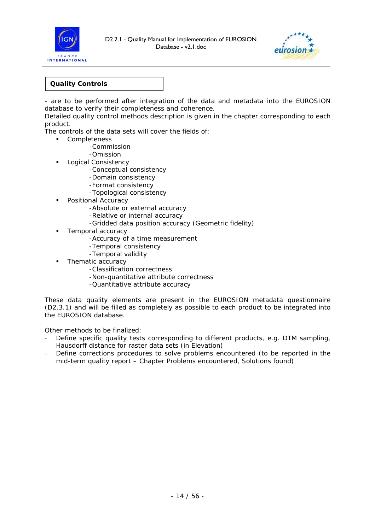



#### **Quality Controls**

- are to be performed after integration of the data and metadata into the EUROSION database to verify their completeness and coherence.

Detailed quality control methods description is given in the chapter corresponding to each product.

The controls of the data sets will cover the fields of:

- **Completeness** 
	- -Commission
	- -Omission
	- **Logical Consistency** 
		- -Conceptual consistency
		- -Domain consistency
		- -Format consistency
		- -Topological consistency
	- **Positional Accuracy** 
		- -Absolute or external accuracy
		- -Relative or internal accuracy
		- -Gridded data position accuracy (Geometric fidelity)
	- Temporal accuracy
		- -Accuracy of a time measurement
		- -Temporal consistency
		- -Temporal validity
	- Thematic accuracy
		- -Classification correctness
		- -Non-quantitative attribute correctness
		- -Quantitative attribute accuracy

These data quality elements are present in the EUROSION metadata questionnaire (D2.3.1) and will be filled as completely as possible to each product to be integrated into the EUROSION database.

Other methods to be finalized:

- Define specific quality tests corresponding to different products, e.g. DTM sampling, Hausdorff distance for raster data sets (in Elevation)
- Define corrections procedures to solve problems encountered (to be reported in the mid-term quality report – Chapter Problems encountered, Solutions found)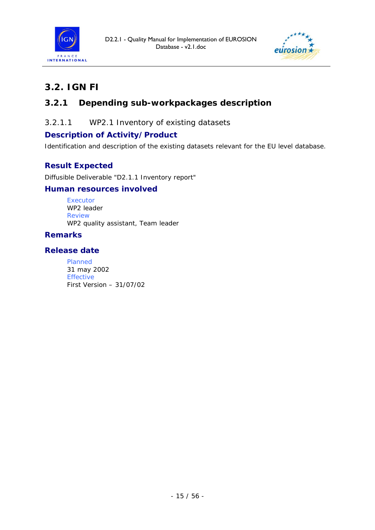



# *3.2. IGN FI*

## **3.2.1 Depending sub-workpackages description**

*3.2.1.1 WP2.1 Inventory of existing datasets* 

### **Description of Activity/Product**

Identification and description of the existing datasets relevant for the EU level database.

### **Result Expected**

Diffusible Deliverable "D2.1.1 Inventory report"

#### **Human resources involved**

Executor WP2 leader Review WP2 quality assistant, Team leader

#### **Remarks**

#### **Release date**

Planned 31 may 2002 Effective First Version – 31/07/02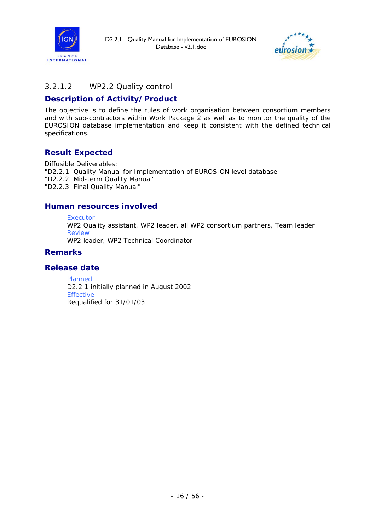



#### *3.2.1.2 WP2.2 Quality control*

#### **Description of Activity/Product**

The objective is to define the rules of work organisation between consortium members and with sub-contractors within Work Package 2 as well as to monitor the quality of the EUROSION database implementation and keep it consistent with the defined technical specifications.

#### **Result Expected**

Diffusible Deliverables: "D2.2.1. Quality Manual for Implementation of EUROSION level database" "D2.2.2. Mid-term Quality Manual" "D2.2.3. Final Quality Manual"

#### **Human resources involved**

Executor

WP2 Quality assistant, WP2 leader, all WP2 consortium partners, Team leader Review

WP2 leader, WP2 Technical Coordinator

#### **Remarks**

#### **Release date**

Planned D2.2.1 initially planned in August 2002 Effective Requalified for 31/01/03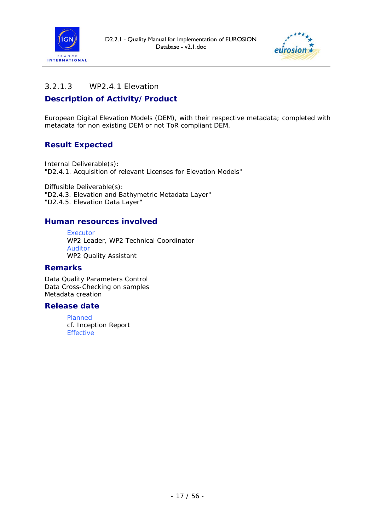



#### *3.2.1.3 WP2.4.1 Elevation*

#### **Description of Activity/Product**

European Digital Elevation Models (DEM), with their respective metadata; completed with metadata for non existing DEM or not ToR compliant DEM.

### **Result Expected**

Internal Deliverable(s): "D2.4.1. Acquisition of relevant Licenses for Elevation Models"

Diffusible Deliverable(s): "D2.4.3. Elevation and Bathymetric Metadata Layer" "D2.4.5. Elevation Data Layer"

#### **Human resources involved**

Executor WP2 Leader, WP2 Technical Coordinator Auditor WP2 Quality Assistant

#### **Remarks**

Data Quality Parameters Control Data Cross-Checking on samples Metadata creation

#### **Release date**

Planned *cf.* Inception Report Effective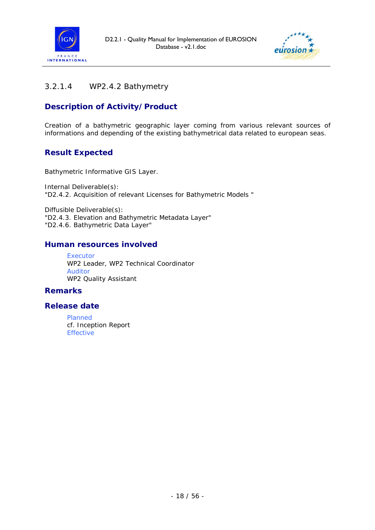



### *3.2.1.4 WP2.4.2 Bathymetry*

### **Description of Activity/Product**

Creation of a bathymetric geographic layer coming from various relevant sources of informations and depending of the existing bathymetrical data related to european seas.

### **Result Expected**

Bathymetric Informative GIS Layer.

Internal Deliverable(s): "D2.4.2. Acquisition of relevant Licenses for Bathymetric Models "

Diffusible Deliverable(s): "D2.4.3. Elevation and Bathymetric Metadata Layer" "D2.4.6. Bathymetric Data Layer"

#### **Human resources involved**

Executor WP2 Leader, WP2 Technical Coordinator Auditor WP2 Quality Assistant

#### **Remarks**

#### **Release date**

Planned *cf.* Inception Report Effective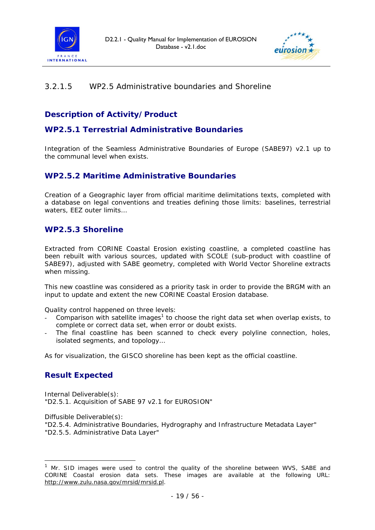



#### *3.2.1.5 WP2.5 Administrative boundaries and Shoreline*

### **Description of Activity/Product**

#### **WP2.5.1 Terrestrial Administrative Boundaries**

Integration of the Seamless Administrative Boundaries of Europe (SABE97) v2.1 up to the communal level when exists.

#### **WP2.5.2 Maritime Administrative Boundaries**

Creation of a Geographic layer from official maritime delimitations texts, completed with a database on legal conventions and treaties defining those limits: baselines, terrestrial waters, EEZ outer limits…

#### **WP2.5.3 Shoreline**

Extracted from CORINE Coastal Erosion existing coastline, a completed coastline has been rebuilt with various sources, updated with SCOLE (sub-product with coastline of SABE97), adjusted with SABE geometry, completed with World Vector Shoreline extracts when missing.

This new coastline was considered as a priority task in order to provide the BRGM with an input to update and extent the new CORINE Coastal Erosion database.

Quality control happened on three levels:

- Comparison with satellite images<sup>[1](#page-18-0)</sup> to choose the right data set when overlap exists, to complete or correct data set, when error or doubt exists.
- The final coastline has been scanned to check every polyline connection, holes, isolated segments, and topology…

As for visualization, the GISCO shoreline has been kept as the official coastline.

#### **Result Expected**

Internal Deliverable(s): "D2.5.1. Acquisition of SABE 97 v2.1 for EUROSION"

Diffusible Deliverable(s):

1

"D2.5.4. Administrative Boundaries, Hydrography and Infrastructure Metadata Layer" "D2.5.5. Administrative Data Layer"

<span id="page-18-0"></span> $1$  Mr. SID images were used to control the quality of the shoreline between WVS, SABE and CORINE Coastal erosion data sets. These images are available at the following URL: http://www.zulu.nasa.gov/mrsid/mrsid.pl.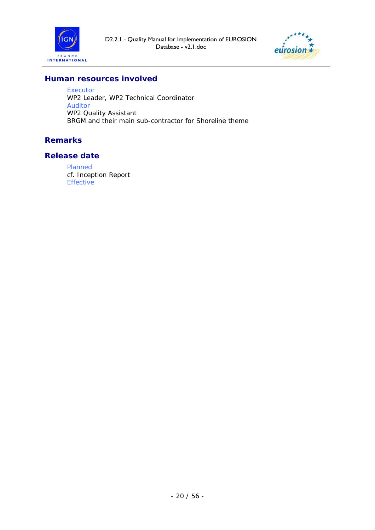



#### **Human resources involved**

Executor WP2 Leader, WP2 Technical Coordinator Auditor WP2 Quality Assistant BRGM and their main sub-contractor for Shoreline theme

#### **Remarks**

#### **Release date**

Planned *cf.* Inception Report Effective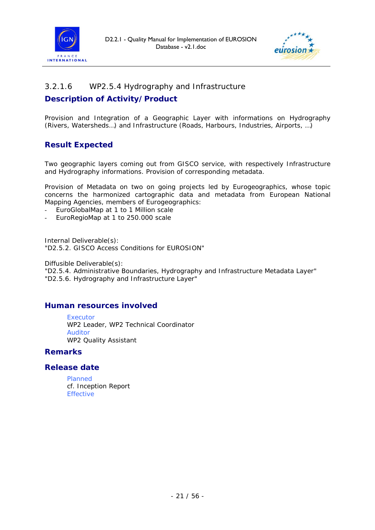



#### *3.2.1.6 WP2.5.4 Hydrography and Infrastructure*

#### **Description of Activity/Product**

Provision and Integration of a Geographic Layer with informations on Hydrography (Rivers, Watersheds…) and Infrastructure (Roads, Harbours, Industries, Airports, …)

### **Result Expected**

Two geographic layers coming out from GISCO service, with respectively Infrastructure and Hydrography informations. Provision of corresponding metadata.

Provision of Metadata on two on going projects led by Eurogeographics, whose topic concerns the harmonized cartographic data and metadata from European National Mapping Agencies, members of Eurogeographics:

- EuroGlobalMap at 1 to 1 Million scale
- EuroRegioMap at 1 to 250.000 scale

Internal Deliverable(s): "D2.5.2. GISCO Access Conditions for EUROSION"

Diffusible Deliverable(s): "D2.5.4. Administrative Boundaries, Hydrography and Infrastructure Metadata Layer" "D2.5.6. Hydrography and Infrastructure Layer"

#### **Human resources involved**

Executor WP2 Leader, WP2 Technical Coordinator Auditor WP2 Quality Assistant

#### **Remarks**

#### **Release date**

Planned *cf.* Inception Report Effective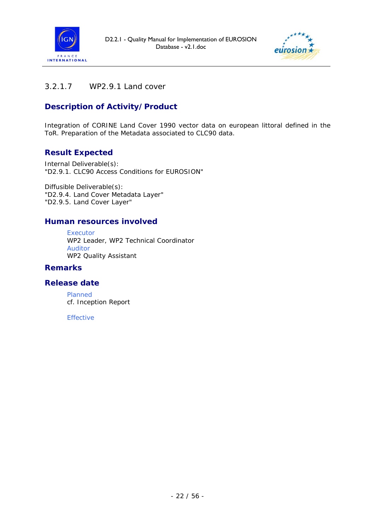



### *3.2.1.7 WP2.9.1 Land cover*

### **Description of Activity/Product**

Integration of CORINE Land Cover 1990 vector data on european littoral defined in the ToR. Preparation of the Metadata associated to CLC90 data.

#### **Result Expected**

Internal Deliverable(s): "D2.9.1. CLC90 Access Conditions for EUROSION"

Diffusible Deliverable(s): "D2.9.4. Land Cover Metadata Layer" "D2.9.5. Land Cover Layer"

#### **Human resources involved**

Executor WP2 Leader, WP2 Technical Coordinator Auditor WP2 Quality Assistant

#### **Remarks**

#### **Release date**

Planned *cf.* Inception Report

Effective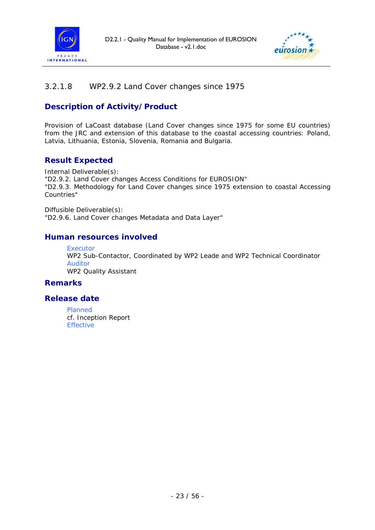



#### *3.2.1.8 WP2.9.2 Land Cover changes since 1975*

### **Description of Activity/Product**

Provision of LaCoast database (Land Cover changes since 1975 for some EU countries) from the JRC and extension of this database to the coastal accessing countries: Poland, Latvia, Lithuania, Estonia, Slovenia, Romania and Bulgaria.

### **Result Expected**

Internal Deliverable(s): "D2.9.2. Land Cover changes Access Conditions for EUROSION" "D2.9.3. Methodology for Land Cover changes since 1975 extension to coastal Accessing Countries"

Diffusible Deliverable(s): "D2.9.6. Land Cover changes Metadata and Data Layer"

#### **Human resources involved**

Executor WP2 Sub-Contactor, Coordinated by WP2 Leade and WP2 Technical Coordinator Auditor WP2 Quality Assistant

#### **Remarks**

#### **Release date**

Planned *cf.* Inception Report Effective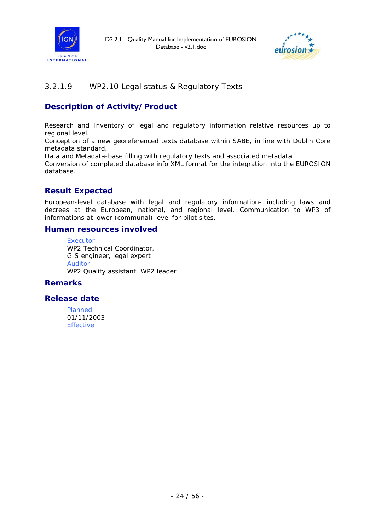



### *3.2.1.9 WP2.10 Legal status & Regulatory Texts*

### **Description of Activity/Product**

Research and Inventory of legal and regulatory information relative resources up to regional level.

Conception of a new georeferenced texts database within SABE, in line with Dublin Core metadata standard.

Data and Metadata-base filling with regulatory texts and associated metadata.

Conversion of completed database info XML format for the integration into the EUROSION database.

#### **Result Expected**

European-level database with legal and regulatory information- including laws and decrees at the European, national, and regional level. Communication to WP3 of informations at lower (communal) level for pilot sites.

#### **Human resources involved**

Executor WP2 Technical Coordinator, GIS engineer, legal expert Auditor WP2 Quality assistant, WP2 leader

#### **Remarks**

#### **Release date**

Planned 01/11/2003 Effective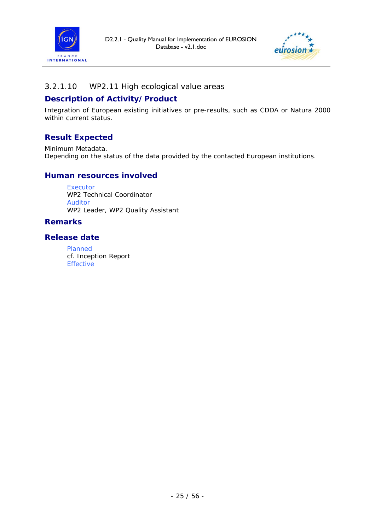



#### *3.2.1.10 WP2.11 High ecological value areas*

#### **Description of Activity/Product**

Integration of European existing initiatives or pre-results, such as CDDA or Natura 2000 within current status.

### **Result Expected**

Minimum Metadata. Depending on the status of the data provided by the contacted European institutions.

#### **Human resources involved**

**Executor** WP2 Technical Coordinator Auditor WP2 Leader, WP2 Quality Assistant

#### **Remarks**

#### **Release date**

Planned *cf.* Inception Report Effective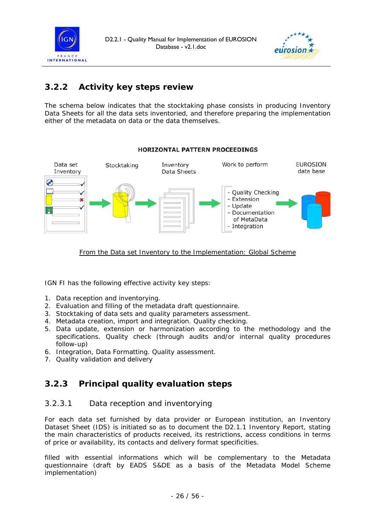



## **3.2.2 Activity key steps review**

The schema below indicates that the stocktaking phase consists in producing Inventory Data Sheets for all the data sets inventoried, and therefore preparing the implementation either of the metadata on data or the data themselves.



#### HORTZONTAL PATTERN PROCEEDINGS

#### From the Data set Inventory to the Implementation: Global Scheme

IGN FI has the following effective activity key steps:

- 1. Data reception and inventorying.
- 2. Evaluation and filling of the metadata draft questionnaire.
- 3. Stocktaking of data sets and quality parameters assessment.
- 4. Metadata creation, import and integration. Quality checking.
- 5. Data update, extension or harmonization according to the methodology and the specifications. Quality check (through audits and/or internal quality procedures follow-up)
- 6. Integration, Data Formatting. Quality assessment.
- 7. Quality validation and delivery

### **3.2.3 Principal quality evaluation steps**

#### *3.2.3.1 Data reception and inventorying*

For each data set furnished by data provider or European institution, an *Inventory Dataset Sheet (IDS)* is initiated so as to document the *D2.1.1 Inventory Report*, stating the main characteristics of products received, its restrictions, access conditions in terms of price or availability, its contacts and delivery format specificities.

filled with essential informations which will be complementary to the Metadata questionnaire (draft by EADS S&DE as a basis of the Metadata Model Scheme implementation)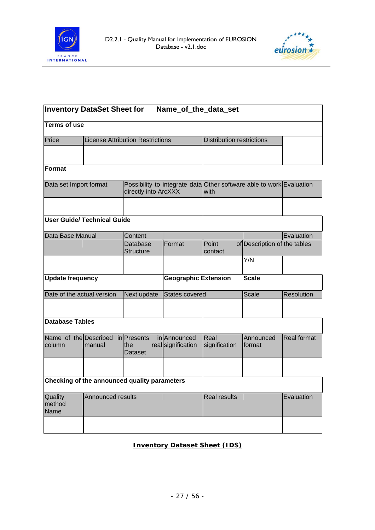



| <b>Inventory DataSet Sheet for</b><br>Name_of_the_data_set |                                              |                                         |                                             |                                                                              |                              |                    |
|------------------------------------------------------------|----------------------------------------------|-----------------------------------------|---------------------------------------------|------------------------------------------------------------------------------|------------------------------|--------------------|
| <b>Terms of use</b>                                        |                                              |                                         |                                             |                                                                              |                              |                    |
| Price                                                      |                                              | <b>License Attribution Restrictions</b> |                                             | <b>Distribution restrictions</b>                                             |                              |                    |
|                                                            |                                              |                                         |                                             |                                                                              |                              |                    |
| Format                                                     |                                              |                                         |                                             |                                                                              |                              |                    |
| Data set Import format                                     |                                              | directly into ArcXXX                    |                                             | Possibility to integrate data Other software able to work Evaluation<br>with |                              |                    |
|                                                            |                                              |                                         |                                             |                                                                              |                              |                    |
|                                                            | User Guide/ Technical Guide                  |                                         |                                             |                                                                              |                              |                    |
| Data Base Manual                                           |                                              | Content                                 |                                             |                                                                              |                              | Evaluation         |
|                                                            |                                              | <b>Database</b><br>Structure            | Format                                      | Point<br>contact                                                             | of Description of the tables |                    |
|                                                            |                                              |                                         |                                             |                                                                              | Y/N                          |                    |
| <b>Update frequency</b>                                    |                                              |                                         | <b>Geographic Extension</b><br><b>Scale</b> |                                                                              |                              |                    |
| Date of the actual version                                 |                                              | Next update                             | <b>States covered</b>                       |                                                                              | <b>Scale</b>                 | Resolution         |
|                                                            |                                              |                                         |                                             |                                                                              |                              |                    |
| <b>Database Tables</b>                                     |                                              |                                         |                                             |                                                                              |                              |                    |
| Name of the Described<br>column                            | manual                                       | in Presents<br>the<br>Dataset           | in Announced<br>real signification          | Real<br>signification                                                        | Announced<br>format          | <b>Real format</b> |
|                                                            |                                              |                                         |                                             |                                                                              |                              |                    |
|                                                            | Checking of the announced quality parameters |                                         |                                             |                                                                              |                              |                    |
| Quality<br>method<br>Name                                  | Announced results                            |                                         |                                             | <b>Real results</b>                                                          |                              | Evaluation         |
|                                                            |                                              |                                         |                                             |                                                                              |                              |                    |

#### **Inventory Dataset Sheet (IDS)**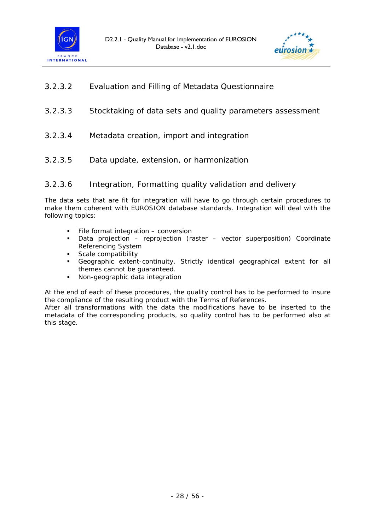



- *3.2.3.2 Evaluation and Filling of Metadata Questionnaire*
- *3.2.3.3 Stocktaking of data sets and quality parameters assessment*
- *3.2.3.4 Metadata creation, import and integration*
- *3.2.3.5 Data update, extension, or harmonization*

#### *3.2.3.6 Integration, Formatting quality validation and delivery*

The data sets that are fit for integration will have to go through certain procedures to make them coherent with EUROSION database standards. Integration will deal with the following topics:

- File format integration conversion
- Data projection reprojection (raster vector superposition) Coordinate Referencing System
- Scale compatibility<br>Geographic extent
- Geographic extent-continuity. Strictly identical geographical extent for all themes cannot be guaranteed.
- Non-geographic data integration

At the end of each of these procedures, the quality control has to be performed to insure the compliance of the resulting product with the Terms of References.

After all transformations with the data the modifications have to be inserted to the metadata of the corresponding products, so quality control has to be performed also at this stage.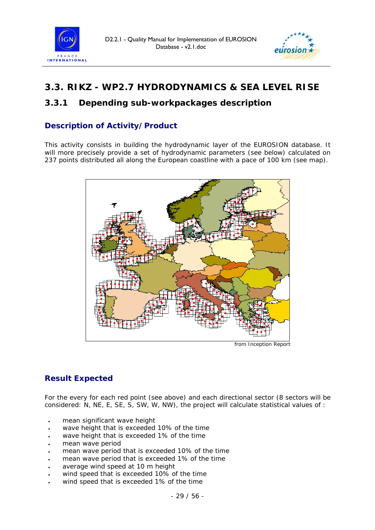



# *3.3. RIKZ - WP2.7 HYDRODYNAMICS & SEA LEVEL RISE*

### **3.3.1 Depending sub-workpackages description**

### **Description of Activity/Product**

This activity consists in building the hydrodynamic layer of the EUROSION database. It will more precisely provide a set of hydrodynamic parameters (see below) calculated on 237 points distributed all along the European coastline with a pace of 100 km (see map).



*from Inception Report* 

### **Result Expected**

For the every for each red point (see above) and each directional sector (8 sectors will be considered: N, NE, E, SE, S, SW, W, NW), the project will calculate statistical values of :

- mean significant wave height
- wave height that is exceeded 10% of the time
- wave height that is exceeded 1% of the time
- mean wave period
- mean wave period that is exceeded 10% of the time
- mean wave period that is exceeded 1% of the time
- average wind speed at 10 m height
- wind speed that is exceeded 10% of the time
- wind speed that is exceeded 1% of the time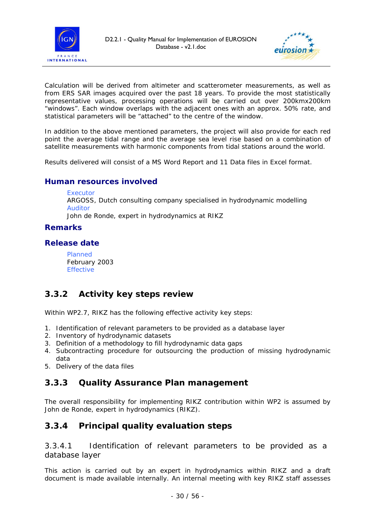



Calculation will be derived from altimeter and scatterometer measurements, as well as from ERS SAR images acquired over the past 18 years. To provide the most statistically representative values, processing operations will be carried out over 200kmx200km "windows". Each window overlaps with the adjacent ones with an approx. 50% rate, and statistical parameters will be "attached" to the centre of the window.

In addition to the above mentioned parameters, the project will also provide for each red point the average tidal range and the average sea level rise based on a combination of satellite measurements with harmonic components from tidal stations around the world.

Results delivered will consist of a MS Word Report and 11 Data files in Excel format.

#### **Human resources involved**

#### Executor

ARGOSS, Dutch consulting company specialised in hydrodynamic modelling Auditor John de Ronde, expert in hydrodynamics at RIKZ

#### **Remarks**

#### **Release date**

Planned February 2003 Effective

### **3.3.2 Activity key steps review**

Within WP2.7, RIKZ has the following effective activity key steps:

- 1. Identification of relevant parameters to be provided as a database layer
- 2. Inventory of hydrodynamic datasets
- 3. Definition of a methodology to fill hydrodynamic data gaps
- 4. Subcontracting procedure for outsourcing the production of missing hydrodynamic data
- 5. Delivery of the data files

### **3.3.3 Quality Assurance Plan management**

The overall responsibility for implementing RIKZ contribution within WP2 is assumed by John de Ronde, expert in hydrodynamics (RIKZ).

### **3.3.4 Principal quality evaluation steps**

*3.3.4.1 Identification of relevant parameters to be provided as a database layer* 

This action is carried out by an expert in hydrodynamics within RIKZ and a draft document is made available internally. An internal meeting with key RIKZ staff assesses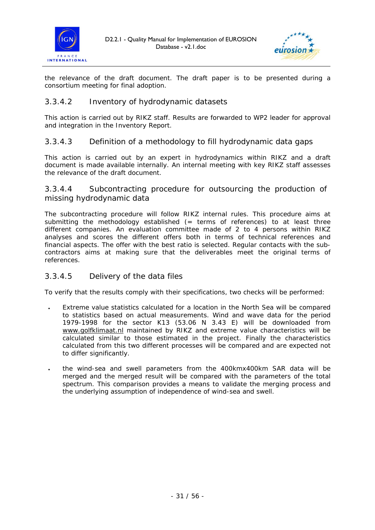



the relevance of the draft document. The draft paper is to be presented during a consortium meeting for final adoption.

#### *3.3.4.2 Inventory of hydrodynamic datasets*

This action is carried out by RIKZ staff. Results are forwarded to WP2 leader for approval and integration in the Inventory Report.

#### *3.3.4.3 Definition of a methodology to fill hydrodynamic data gaps*

This action is carried out by an expert in hydrodynamics within RIKZ and a draft document is made available internally. An internal meeting with key RIKZ staff assesses the relevance of the draft document.

#### *3.3.4.4 Subcontracting procedure for outsourcing the production of missing hydrodynamic data*

The subcontracting procedure will follow RIKZ internal rules. This procedure aims at submitting the methodology established (= terms of references) to at least three different companies. An evaluation committee made of 2 to 4 persons within RIKZ analyses and scores the different offers both in terms of technical references and financial aspects. The offer with the best ratio is selected. Regular contacts with the subcontractors aims at making sure that the deliverables meet the original terms of references.

#### *3.3.4.5 Delivery of the data files*

To verify that the results comply with their specifications, two checks will be performed:

- Extreme value statistics calculated for a location in the North Sea will be compared to statistics based on actual measurements. Wind and wave data for the period 1979-1998 for the sector K13 (53.06 N 3.43 E) will be downloaded from www.golfklimaat.nl maintained by RIKZ and extreme value characteristics will be calculated similar to those estimated in the project. Finally the characteristics calculated from this two different processes will be compared and are expected not to differ significantly.
- the wind-sea and swell parameters from the 400kmx400km SAR data will be merged and the merged result will be compared with the parameters of the total spectrum. This comparison provides a means to validate the merging process and the underlying assumption of independence of wind-sea and swell.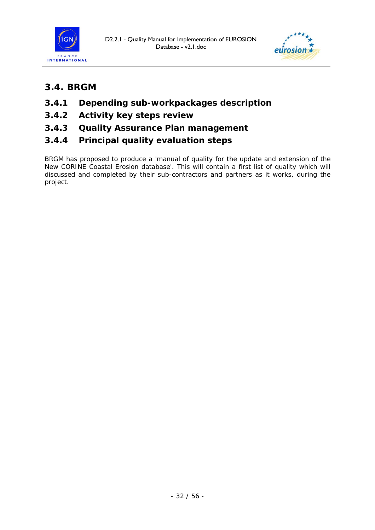



## *3.4. BRGM*

- **3.4.1 Depending sub-workpackages description**
- **3.4.2 Activity key steps review**
- **3.4.3 Quality Assurance Plan management**
- **3.4.4 Principal quality evaluation steps**

BRGM has proposed to produce a 'manual of quality for the update and extension of the New CORINE Coastal Erosion database'. This will contain a first list of quality which will discussed and completed by their sub-contractors and partners as it works, during the project.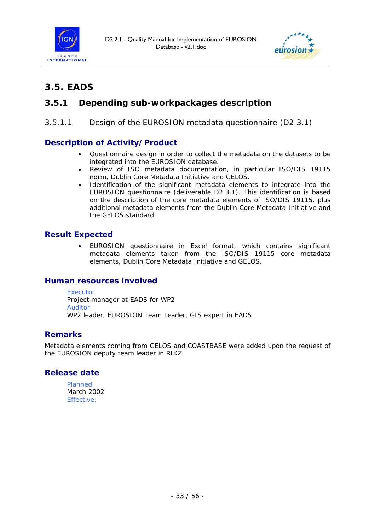



# *3.5. EADS*

### **3.5.1 Depending sub-workpackages description**

#### *3.5.1.1 Design of the EUROSION metadata questionnaire (D2.3.1)*

#### **Description of Activity/Product**

- Questionnaire design in order to collect the metadata on the datasets to be integrated into the EUROSION database.
- Review of ISO metadata documentation, in particular ISO/DIS 19115 norm, Dublin Core Metadata Initiative and GELOS.
- Identification of the significant metadata elements to integrate into the EUROSION questionnaire (deliverable D2.3.1). This identification is based on the description of the core metadata elements of ISO/DIS 19115, plus additional metadata elements from the Dublin Core Metadata Initiative and the GELOS standard.

#### **Result Expected**

• EUROSION questionnaire in Excel format, which contains significant metadata elements taken from the ISO/DIS 19115 core metadata elements, Dublin Core Metadata Initiative and GELOS.

#### **Human resources involved**

**Executor** 

Project manager at EADS for WP2 Auditor WP2 leader, EUROSION Team Leader, GIS expert in EADS

#### **Remarks**

Metadata elements coming from GELOS and COASTBASE were added upon the request of the EUROSION deputy team leader in RIKZ.

#### **Release date**

Planned: March 2002 Effective: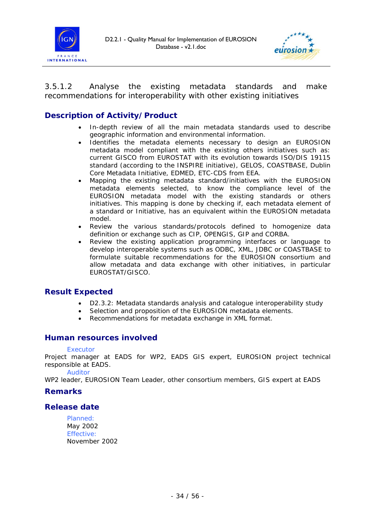



*3.5.1.2 Analyse the existing metadata standards and make recommendations for interoperability with other existing initiatives* 

### **Description of Activity/Product**

- In-depth review of all the main metadata standards used to describe geographic information and environmental information.
- Identifies the metadata elements necessary to design an EUROSION metadata model compliant with the existing others initiatives such as: current GISCO from EUROSTAT with its evolution towards ISO/DIS 19115 standard (according to the INSPIRE initiative), GELOS, COASTBASE, Dublin Core Metadata Initiative, EDMED, ETC-CDS from EEA.
- Mapping the existing metadata standard/initiatives with the EUROSION metadata elements selected, to know the compliance level of the EUROSION metadata model with the existing standards or others initiatives. This mapping is done by checking if, each metadata element of a standard or Initiative, has an equivalent within the EUROSION metadata model.
- Review the various standards/protocols defined to homogenize data definition or exchange such as CIP, OPENGIS, GIP and CORBA.
- Review the existing application programming interfaces or language to develop interoperable systems such as ODBC, XML, JDBC or COASTBASE to formulate suitable recommendations for the EUROSION consortium and allow metadata and data exchange with other initiatives, in particular EUROSTAT/GISCO.

#### **Result Expected**

- D2.3.2: Metadata standards analysis and catalogue interoperability study
- Selection and proposition of the EUROSION metadata elements.
- Recommendations for metadata exchange in XML format.

#### **Human resources involved**

#### Executor

Project manager at EADS for WP2, EADS GIS expert, EUROSION project technical responsible at EADS.

Auditor

WP2 leader, EUROSION Team Leader, other consortium members, GIS expert at EADS

#### **Remarks**

#### **Release date**

Planned: May 2002 Effective: November 2002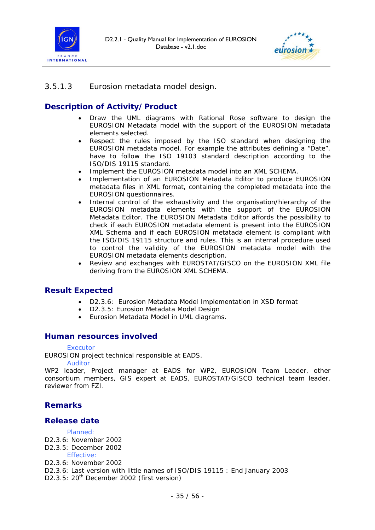



#### *3.5.1.3 Eurosion metadata model design.*

### **Description of Activity/Product**

- Draw the UML diagrams with Rational Rose software to design the EUROSION Metadata model with the support of the EUROSION metadata elements selected.
- Respect the rules imposed by the ISO standard when designing the EUROSION metadata model. For example the attributes defining a "Date", have to follow the ISO 19103 standard description according to the ISO/DIS 19115 standard.
- Implement the EUROSION metadata model into an XML SCHEMA.
- Implementation of an EUROSION Metadata Editor to produce EUROSION metadata files in XML format, containing the completed metadata into the EUROSION questionnaires.
- Internal control of the exhaustivity and the organisation/hierarchy of the EUROSION metadata elements with the support of the EUROSION Metadata Editor. The EUROSION Metadata Editor affords the possibility to check if each EUROSION metadata element is present into the EUROSION XML Schema and if each EUROSION metatada element is compliant with the ISO/DIS 19115 structure and rules. This is an internal procedure used to control the validity of the EUROSION metadata model with the EUROSION metadata elements description.
- Review and exchanges with EUROSTAT/GISCO on the EUROSION XML file deriving from the EUROSION XML SCHEMA.

#### **Result Expected**

- D2.3.6: Eurosion Metadata Model Implementation in XSD format
- D2.3.5: Eurosion Metadata Model Design
- Eurosion Metadata Model in UML diagrams.

#### **Human resources involved**

#### **Executor**

EUROSION project technical responsible at EADS.

#### Auditor

WP2 leader, Project manager at EADS for WP2, EUROSION Team Leader, other consortium members, GIS expert at EADS, EUROSTAT/GISCO technical team leader, reviewer from FZI.

#### **Remarks**

#### **Release date**

#### Planned:

- D2.3.6: November 2002
- D2.3.5: December 2002

Effective:

- D2.3.6: November 2002
- D2.3.6: Last version with little names of ISO/DIS 19115 : End January 2003
- D2.3.5: 20<sup>th</sup> December 2002 (first version)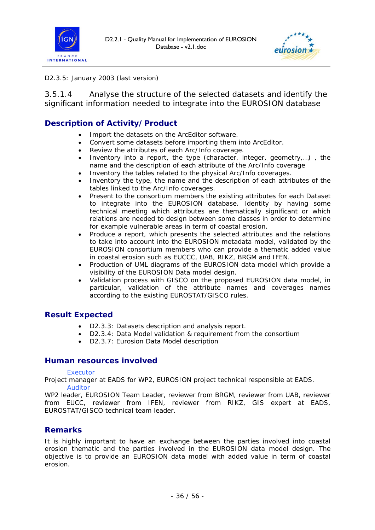



#### D2.3.5: January 2003 (last version)

*3.5.1.4 Analyse the structure of the selected datasets and identify the significant information needed to integrate into the EUROSION database* 

#### **Description of Activity/Product**

- Import the datasets on the ArcEditor software.
- Convert some datasets before importing them into ArcEditor.
- Review the attributes of each Arc/Info coverage.
- Inventory into a report, the type (character, integer, geometry,…) , the name and the description of each attribute of the Arc/Info coverage
- Inventory the tables related to the physical Arc/Info coverages.
- Inventory the type, the name and the description of each attributes of the tables linked to the Arc/Info coverages.
- Present to the consortium members the existing attributes for each Dataset to integrate into the EUROSION database. Identity by having some technical meeting which attributes are thematically significant or which relations are needed to design between some classes in order to determine for example vulnerable areas in term of coastal erosion.
- Produce a report, which presents the selected attributes and the relations to take into account into the EUROSION metadata model, validated by the EUROSION consortium members who can provide a thematic added value in coastal erosion such as EUCCC, UAB, RIKZ, BRGM and IFEN.
- Production of UML diagrams of the EUROSION data model which provide a visibility of the EUROSION Data model design.
- Validation process with GISCO on the proposed EUROSION data model, in particular, validation of the attribute names and coverages names according to the existing EUROSTAT/GISCO rules.

#### **Result Expected**

- D2.3.3: Datasets description and analysis report.
- D2.3.4: Data Model validation & requirement from the consortium
- D2.3.7: Eurosion Data Model description

#### **Human resources involved**

#### **Executor**

Project manager at EADS for WP2, EUROSION project technical responsible at EADS. Auditor

WP2 leader, EUROSION Team Leader, reviewer from BRGM, reviewer from UAB, reviewer from EUCC, reviewer from IFEN, reviewer from RIKZ, GIS expert at EADS, EUROSTAT/GISCO technical team leader.

#### **Remarks**

It is highly important to have an exchange between the parties involved into coastal erosion thematic and the parties involved in the EUROSION data model design. The objective is to provide an EUROSION data model with added value in term of coastal erosion.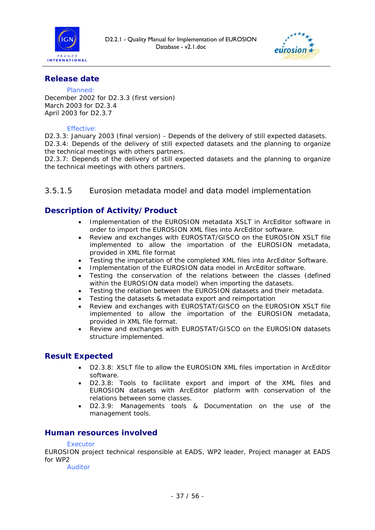



#### **Release date**

#### Planned:

December 2002 for D2.3.3 (first version) March 2003 for D2.3.4 April 2003 for D2.3.7

#### Effective:

D2.3.3: January 2003 (final version) - Depends of the delivery of still expected datasets. D2.3.4: Depends of the delivery of still expected datasets and the planning to organize the technical meetings with others partners.

D2.3.7: Depends of the delivery of still expected datasets and the planning to organize the technical meetings with others partners.

#### *3.5.1.5 Eurosion metadata model and data model implementation*

#### **Description of Activity/Product**

- Implementation of the EUROSION metadata XSLT in ArcEditor software in order to import the EUROSION XML files into ArcEditor software.
- Review and exchanges with EUROSTAT/GISCO on the EUROSION XSLT file implemented to allow the importation of the EUROSION metadata, provided in XML file format
- Testing the importation of the completed XML files into ArcEditor Software.
- Implementation of the EUROSION data model in ArcEditor software.
- Testing the conservation of the relations between the classes (defined within the EUROSION data model) when importing the datasets.
- Testing the relation between the EUROSION datasets and their metadata.
- Testing the datasets & metadata export and reimportation
- Review and exchanges with EUROSTAT/GISCO on the EUROSION XSLT file implemented to allow the importation of the EUROSION metadata, provided in XML file format.
- Review and exchanges with EUROSTAT/GISCO on the EUROSION datasets structure implemented.

#### **Result Expected**

- D2.3.8: XSLT file to allow the EUROSION XML files importation in ArcEditor software.
- D2.3.8: Tools to facilitate export and import of the XML files and EUROSION datasets with ArcEditor platform with conservation of the relations between some classes.
- D2.3.9: Managements tools & Documentation on the use of the management tools.

#### **Human resources involved**

#### Executor

EUROSION project technical responsible at EADS, WP2 leader, Project manager at EADS for WP2

Auditor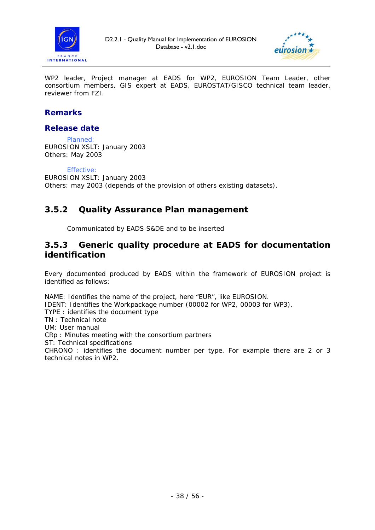



WP2 leader, Project manager at EADS for WP2, EUROSION Team Leader, other consortium members, GIS expert at EADS, EUROSTAT/GISCO technical team leader, reviewer from FZI.

### **Remarks**

#### **Release date**

Planned: EUROSION XSLT: January 2003 Others: May 2003

#### Effective:

EUROSION XSLT: January 2003 Others: may 2003 (depends of the provision of others existing datasets).

### **3.5.2 Quality Assurance Plan management**

Communicated by EADS S&DE and to be inserted

### **3.5.3 Generic quality procedure at EADS for documentation identification**

Every documented produced by EADS within the framework of EUROSION project is identified as follows:

NAME: Identifies the name of the project, here "EUR", like EUROSION. IDENT: Identifies the Workpackage number (00002 for WP2, 00003 for WP3). TYPE : identifies the document type TN : Technical note UM: User manual CRp : Minutes meeting with the consortium partners ST: Technical specifications CHRONO : identifies the document number per type. For example there are 2 or 3 technical notes in WP2.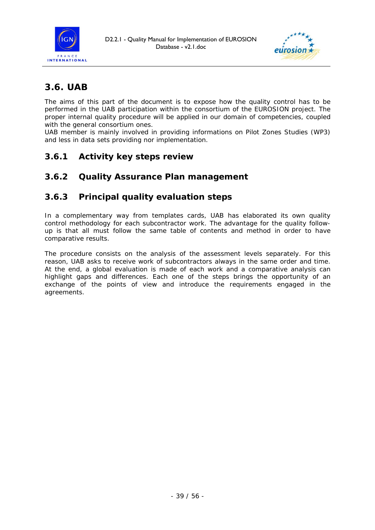



# *3.6. UAB*

The aims of this part of the document is to expose how the quality control has to be performed in the UAB participation within the consortium of the EUROSION project. The proper internal quality procedure will be applied in our domain of competencies, coupled with the general consortium ones.

UAB member is mainly involved in providing informations on Pilot Zones Studies (WP3) and less in data sets providing nor implementation.

### **3.6.1 Activity key steps review**

### **3.6.2 Quality Assurance Plan management**

### **3.6.3 Principal quality evaluation steps**

In a complementary way from templates cards, UAB has elaborated its own quality control methodology for each subcontractor work. The advantage for the quality followup is that all must follow the same table of contents and method in order to have comparative results.

The procedure consists on the analysis of the assessment levels separately. For this reason, UAB asks to receive work of subcontractors always in the same order and time. At the end, a global evaluation is made of each work and a comparative analysis can highlight gaps and differences. Each one of the steps brings the opportunity of an exchange of the points of view and introduce the requirements engaged in the agreements.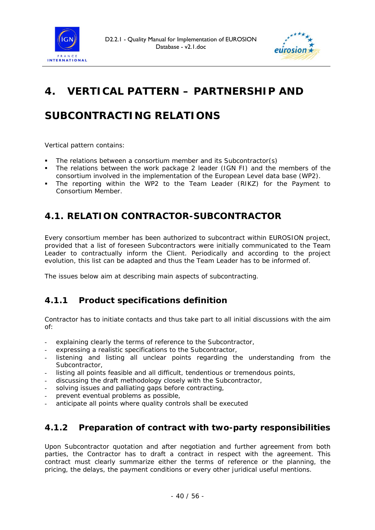



# **4. VERTICAL PATTERN – PARTNERSHIP AND**

# **SUBCONTRACTING RELATIONS**

Vertical pattern contains:

- The relations between a consortium member and its Subcontractor(s)
- The relations between the work package 2 leader (IGN FI) and the members of the consortium involved in the implementation of the European Level data base (WP2).
- The reporting within the WP2 to the Team Leader (RIKZ) for the Payment to Consortium Member.

## *4.1. RELATION CONTRACTOR-SUBCONTRACTOR*

Every consortium member has been authorized to subcontract within EUROSION project, provided that a list of foreseen Subcontractors were initially communicated to the Team Leader to contractually inform the Client. Periodically and according to the project evolution, this list can be adapted and thus the Team Leader has to be informed of.

The issues below aim at describing main aspects of subcontracting.

### **4.1.1 Product specifications definition**

Contractor has to initiate contacts and thus take part to all initial discussions with the aim of:

- explaining clearly the terms of reference to the Subcontractor,
- expressing a realistic specifications to the Subcontractor,
- listening and listing all unclear points regarding the understanding from the Subcontractor,
- listing all points feasible and all difficult, tendentious or tremendous points,
- discussing the draft methodology closely with the Subcontractor,
- solving issues and palliating gaps before contracting,
- prevent eventual problems as possible,
- anticipate all points where quality controls shall be executed

### **4.1.2 Preparation of contract with two-party responsibilities**

Upon Subcontractor quotation and after negotiation and further agreement from both parties, the Contractor has to draft a contract in respect with the agreement. This contract must clearly summarize either the terms of reference or the planning, the pricing, the delays, the payment conditions or every other juridical useful mentions.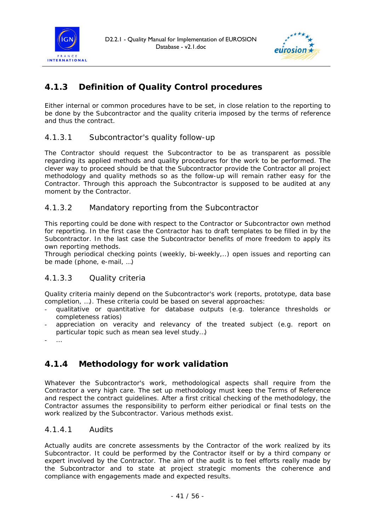



## **4.1.3 Definition of Quality Control procedures**

Either internal or common procedures have to be set, in close relation to the reporting to be done by the Subcontractor and the quality criteria imposed by the terms of reference and thus the contract.

#### *4.1.3.1 Subcontractor's quality follow-up*

The Contractor should request the Subcontractor to be as transparent as possible regarding its applied methods and quality procedures for the work to be performed. The clever way to proceed should be that the Subcontractor provide the Contractor all project methodology and quality methods so as the follow-up will remain rather easy for the Contractor. Through this approach the Subcontractor is supposed to be audited at any moment by the Contractor.

#### *4.1.3.2 Mandatory reporting from the Subcontractor*

This reporting could be done with respect to the Contractor or Subcontractor own method for reporting. In the first case the Contractor has to draft templates to be filled in by the Subcontractor. In the last case the Subcontractor benefits of more freedom to apply its own reporting methods.

Through periodical checking points (weekly, bi-weekly,..) open issues and reporting can be made (phone, e-mail, …)

### *4.1.3.3 Quality criteria*

Quality criteria mainly depend on the Subcontractor's work (reports, prototype, data base completion, …). These criteria could be based on several approaches:

- qualitative or quantitative for database outputs (e.g. tolerance thresholds or completeness ratios)
- appreciation on veracity and relevancy of the treated subject (e.g. report on particular topic such as mean sea level study…)
- …

### **4.1.4 Methodology for work validation**

Whatever the Subcontractor's work, methodological aspects shall require from the Contractor a very high care. The set up methodology must keep the Terms of Reference and respect the contract guidelines. After a first critical checking of the methodology, the Contractor assumes the responsibility to perform either periodical or final tests on the work realized by the Subcontractor. Various methods exist.

#### *4.1.4.1 Audits*

Actually audits are concrete assessments by the Contractor of the work realized by its Subcontractor. It could be performed by the Contractor itself or by a third company or expert involved by the Contractor. The aim of the audit is to feel efforts really made by the Subcontractor and to state at project strategic moments the coherence and compliance with engagements made and expected results.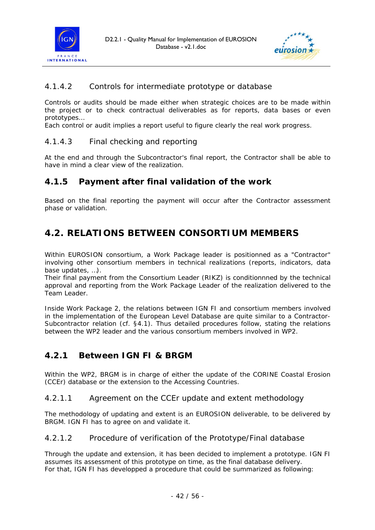



#### *4.1.4.2 Controls for intermediate prototype or database*

Controls or audits should be made either when strategic choices are to be made within the project or to check contractual deliverables as for reports, data bases or even prototypes…

Each control or audit implies a report useful to figure clearly the real work progress.

#### *4.1.4.3 Final checking and reporting*

At the end and through the Subcontractor's final report, the Contractor shall be able to have in mind a clear view of the realization.

### **4.1.5 Payment after final validation of the work**

Based on the final reporting the payment will occur after the Contractor assessment phase or validation.

## *4.2. RELATIONS BETWEEN CONSORTIUM MEMBERS*

Within EUROSION consortium, a Work Package leader is positionned as a "Contractor" involving other consortium members in technical realizations (reports, indicators, data base updates, …).

Their final payment from the Consortium Leader (RIKZ) is conditionnned by the technical approval and reporting from the Work Package Leader of the realization delivered to the Team Leader.

Inside Work Package 2, the relations between IGN FI and consortium members involved in the implementation of the European Level Database are quite similar to a Contractor-Subcontractor relation (cf. §4.1). Thus detailed procedures follow, stating the relations between the WP2 leader and the various consortium members involved in WP2.

### **4.2.1 Between IGN FI & BRGM**

Within the WP2, BRGM is in charge of either the update of the CORINE Coastal Erosion (CCEr) database or the extension to the Accessing Countries.

#### *4.2.1.1 Agreement on the CCEr update and extent methodology*

The methodology of updating and extent is an EUROSION deliverable, to be delivered by BRGM. IGN FI has to agree on and validate it.

#### *4.2.1.2 Procedure of verification of the Prototype/Final database*

Through the update and extension, it has been decided to implement a prototype. IGN FI assumes its assessment of this prototype on time, as the final database delivery. For that, IGN FI has developped a procedure that could be summarized as following: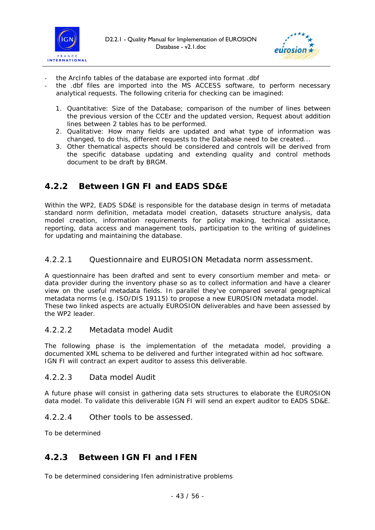



- the ArcInfo tables of the database are exported into format .dbf
- the .dbf files are imported into the MS ACCESS software, to perform necessary analytical requests. The following criteria for checking can be imagined:
	- 1. Quantitative: Size of the Database; comparison of the number of lines between the previous version of the CCEr and the updated version, Request about addition lines between 2 tables has to be performed.
	- 2. Qualitative: How many fields are updated and what type of information was changed, to do this, different requests to the Database need to be created...
	- 3. Other thematical aspects should be considered and controls will be derived from the specific database updating and extending quality and control methods document to be draft by BRGM.

### **4.2.2 Between IGN FI and EADS SD&E**

Within the WP2, EADS SD&E is responsible for the database design in terms of metadata standard norm definition, metadata model creation, datasets structure analysis, data model creation, information requirements for policy making, technical assistance, reporting, data access and management tools, participation to the writing of guidelines for updating and maintaining the database.

#### *4.2.2.1 Questionnaire and EUROSION Metadata norm assessment.*

A questionnaire has been drafted and sent to every consortium member and meta- or data provider during the inventory phase so as to collect information and have a clearer view on the useful metadata fields. In parallel they've compared several geographical metadata norms (e.g. ISO/DIS 19115) to propose a new EUROSION metadata model. These two linked aspects are actually EUROSION deliverables and have been assessed by the WP2 leader.

#### *4.2.2.2 Metadata model Audit*

The following phase is the implementation of the metadata model, providing a documented *XML* schema to be delivered and further integrated within *ad hoc* software. IGN FI will contract an expert auditor to assess this deliverable.

#### *4.2.2.3 Data model Audit*

A future phase will consist in gathering data sets structures to elaborate the EUROSION data model. To validate this deliverable IGN FI will send an expert auditor to EADS SD&E.

#### *4.2.2.4 Other tools to be assessed.*

To be determined

### **4.2.3 Between IGN FI and IFEN**

To be determined considering Ifen administrative problems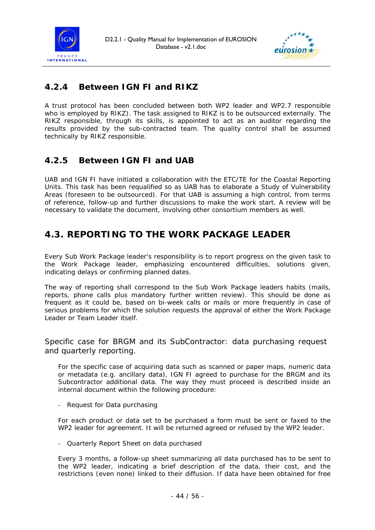



## **4.2.4 Between IGN FI and RIKZ**

A trust protocol has been concluded between both WP2 leader and WP2.7 responsible who is employed by RIKZ). The task assigned to RIKZ is to be outsourced externally. The RIKZ responsible, through its skills, is appointed to act as an auditor regarding the results provided by the sub-contracted team. The quality control shall be assumed technically by RIKZ responsible.

### **4.2.5 Between IGN FI and UAB**

UAB and IGN FI have initiated a collaboration with the ETC/TE for the Coastal Reporting Units. This task has been requalified so as UAB has to elaborate a Study of Vulnerability Areas (foreseen to be outsourced). For that UAB is assuming a high control, from terms of reference, follow-up and further discussions to make the work start. A review will be necessary to validate the document, involving other consortium members as well.

# *4.3. REPORTING TO THE WORK PACKAGE LEADER*

Every Sub Work Package leader's responsibility is to report progress on the given task to the Work Package leader, emphasizing encountered difficulties, solutions given, indicating delays or confirming planned dates.

The way of reporting shall correspond to the Sub Work Package leaders habits (mails, reports, phone calls plus mandatory further written review). This should be done as frequent as it could be, based on bi-week calls or mails or more frequently in case of serious problems for which the solution requests the approval of either the Work Package Leader or Team Leader itself.

#### *Specific case for BRGM and its SubContractor: data purchasing request and quarterly reporting.*

For the specific case of acquiring data such as scanned or paper maps, numeric data or metadata (e.g. ancillary data), IGN FI agreed to purchase for the BRGM and its Subcontractor additional data. The way they must proceed is described inside an internal document within the following procedure:

- Request for Data purchasing

For each product or data set to be purchased a form must be sent or faxed to the WP2 leader for agreement. It will be returned agreed or refused by the WP2 leader.

- Quarterly Report Sheet on data purchased

Every 3 months, a follow-up sheet summarizing all data purchased has to be sent to the WP2 leader, indicating a brief description of the data, their cost, and the restrictions (even none) linked to their diffusion. If data have been obtained for free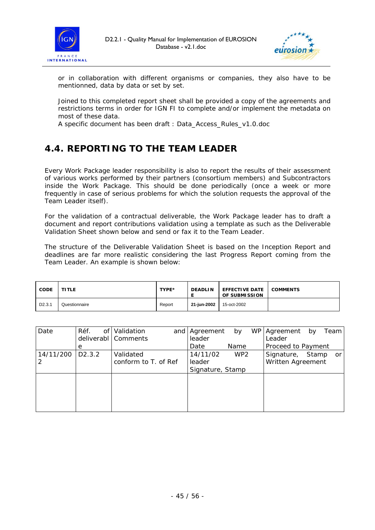



or in collaboration with different organisms or companies, they also have to be mentionned, data by data or set by set.

Joined to this completed report sheet shall be provided a copy of the agreements and restrictions terms in order for IGN FI to complete and/or implement the metadata on most of these data.

A specific document has been draft : *Data\_Access\_Rules\_v1.0.doc*

# *4.4. REPORTING TO THE TEAM LEADER*

Every Work Package leader responsibility is also to report the results of their assessment of various works performed by their partners (consortium members) and Subcontractors inside the Work Package. This should be done periodically (once a week or more frequently in case of serious problems for which the solution requests the approval of the Team Leader itself).

For the validation of a contractual deliverable, the Work Package leader has to draft a document and report contributions validation using a template as such as the *Deliverable Validation Sheet* shown below and send or fax it to the Team Leader.

The structure of the *Deliverable Validation Sheet* is based on the Inception Report and deadlines are far more realistic considering the last *Progress Report* coming from the Team Leader. An example is shown below:

| <b>CODE</b>         | <b>TITLE</b>  | TYPE*  | <b>DEADLIN</b> | <b>EFFECTIVE DATE</b><br><b>OF SUBMISSION</b> | <b>COMMENTS</b> |
|---------------------|---------------|--------|----------------|-----------------------------------------------|-----------------|
| D <sub>2</sub> .3.1 | Questionnaire | Report | 21-iun-2002    | 15-oct-2002                                   |                 |

| Date      | Réf.<br>οf          | Validation           | and   Agreement  | by              | WP   Agreement     | by    | Team            |
|-----------|---------------------|----------------------|------------------|-----------------|--------------------|-------|-----------------|
|           |                     | deliverabl Comments  | leader           |                 | Leader             |       |                 |
|           | е                   |                      | Date             | Name            | Proceed to Payment |       |                 |
| 14/11/200 | D <sub>2</sub> .3.2 | Validated            | 14/11/02         | WP <sub>2</sub> | Signature,         | Stamp | or <sub>l</sub> |
|           |                     | conform to T. of Ref | leader           |                 | Written Agreement  |       |                 |
|           |                     |                      | Signature, Stamp |                 |                    |       |                 |
|           |                     |                      |                  |                 |                    |       |                 |
|           |                     |                      |                  |                 |                    |       |                 |
|           |                     |                      |                  |                 |                    |       |                 |
|           |                     |                      |                  |                 |                    |       |                 |
|           |                     |                      |                  |                 |                    |       |                 |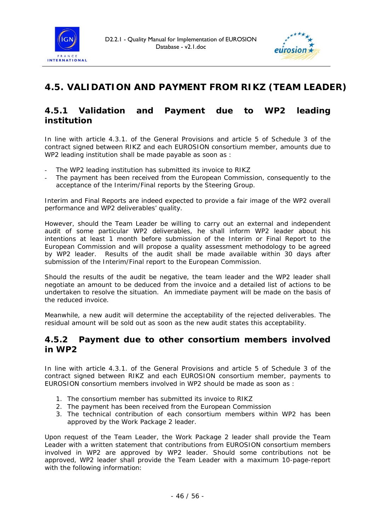



# *4.5. VALIDATION AND PAYMENT FROM RIKZ (TEAM LEADER)*

### **4.5.1 Validation and Payment due to WP2 leading institution**

In line with article 4.3.1. of the General Provisions and article 5 of Schedule 3 of the contract signed between RIKZ and each EUROSION consortium member, amounts due to WP2 leading institution shall be made payable as soon as :

- The WP2 leading institution has submitted its invoice to RIKZ
- The payment has been received from the European Commission, consequently to the acceptance of the Interim/Final reports by the Steering Group.

Interim and Final Reports are indeed expected to provide a fair image of the WP2 overall performance and WP2 deliverables' quality.

However, should the Team Leader be willing to carry out an external and independent audit of some particular WP2 deliverables, he shall inform WP2 leader about his intentions at least 1 month before submission of the Interim or Final Report to the European Commission and will propose a quality assessment methodology to be agreed by WP2 leader. Results of the audit shall be made available within 30 days after submission of the Interim/Final report to the European Commission.

Should the results of the audit be negative, the team leader and the WP2 leader shall negotiate an amount to be deduced from the invoice and a detailed list of actions to be undertaken to resolve the situation. An immediate payment will be made on the basis of the reduced invoice.

Meanwhile, a new audit will determine the acceptability of the rejected deliverables. The residual amount will be sold out as soon as the new audit states this acceptability.

#### **4.5.2 Payment due to other consortium members involved in WP2**

In line with article 4.3.1. of the General Provisions and article 5 of Schedule 3 of the contract signed between RIKZ and each EUROSION consortium member, payments to EUROSION consortium members involved in WP2 should be made as soon as :

- 1. The consortium member has submitted its invoice to RIKZ
- 2. The payment has been received from the European Commission
- 3. The technical contribution of each consortium members within WP2 has been approved by the Work Package 2 leader.

Upon request of the Team Leader, the Work Package 2 leader shall provide the Team Leader with a written statement that contributions from EUROSION consortium members involved in WP2 are approved by WP2 leader. Should some contributions not be approved, WP2 leader shall provide the Team Leader with a maximum 10-page-report with the following information: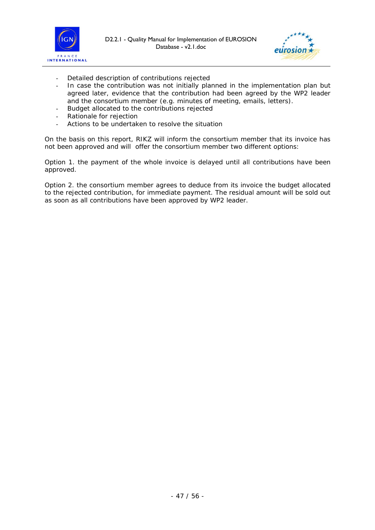



- Detailed description of contributions rejected
- In case the contribution was not initially planned in the implementation plan but agreed later, evidence that the contribution had been agreed by the WP2 leader and the consortium member (e.g. minutes of meeting, emails, letters).
- Budget allocated to the contributions rejected
- Rationale for rejection
- Actions to be undertaken to resolve the situation

On the basis on this report, RIKZ will inform the consortium member that its invoice has not been approved and will offer the consortium member two different options:

Option 1. the payment of the whole invoice is delayed until all contributions have been approved.

Option 2. the consortium member agrees to deduce from its invoice the budget allocated to the rejected contribution, for immediate payment. The residual amount will be sold out as soon as all contributions have been approved by WP2 leader.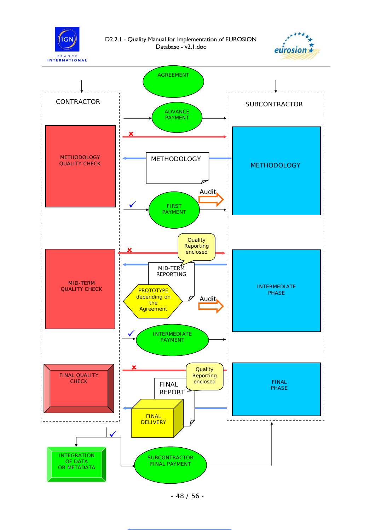

D2.2.1 - Quality Manual for Implementation of EUROSION Database - v2.1.doc





- 48 / 56 -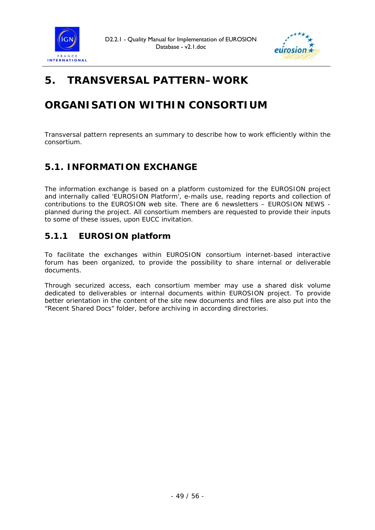



# **5. TRANSVERSAL PATTERN–WORK**

# **ORGANISATION WITHIN CONSORTIUM**

Transversal pattern represents an summary to describe how to work efficiently within the consortium.

## *5.1. INFORMATION EXCHANGE*

The information exchange is based on a platform customized for the EUROSION project and internally called *'EUROSION Platform'*, e-mails use, reading reports and collection of contributions to the EUROSION web site. There are 6 newsletters – EUROSION NEWS planned during the project. All consortium members are requested to provide their inputs to some of these issues, upon EUCC invitation.

### **5.1.1 EUROSION platform**

To facilitate the exchanges within EUROSION consortium internet-based interactive forum has been organized, to provide the possibility to share internal or deliverable documents.

Through securized access, each consortium member may use a shared disk volume dedicated to deliverables or internal documents within EUROSION project. To provide better orientation in the content of the site new documents and files are also put into the "Recent Shared Docs" folder, before archiving in according directories.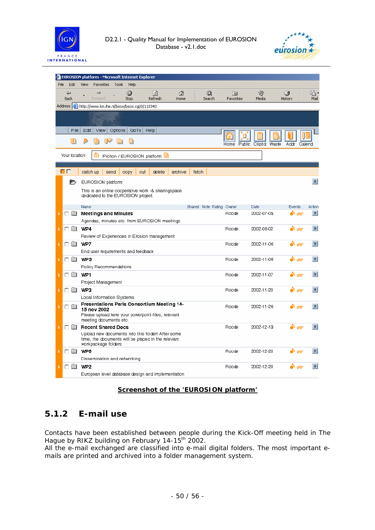



|      |                         | EUROSION platform - Microsoft Internet Explorer                              |         |        |                          |                 |         |                       |
|------|-------------------------|------------------------------------------------------------------------------|---------|--------|--------------------------|-----------------|---------|-----------------------|
| File | Edit                    | Tools<br>View<br>Favorites<br>Help                                           |         |        |                          |                 |         |                       |
|      | ⇦                       | O<br>燗<br>➡                                                                  | A       | Q      | 陱                        | ☜               | Ø       | 喝·                    |
|      | <b>Back</b>             | Stop<br>Refresh<br>Forward                                                   | Home    | Search | Favorites                | Media           | History | Mail                  |
|      |                         | Address <b>@</b> http://www.km.ihe.nl/bscw/bscw.cgi/0/118340                 |         |        |                          |                 |         |                       |
|      |                         |                                                                              |         |        |                          |                 |         |                       |
|      | File                    | Edit<br>View<br>Options<br>GoTo<br>Help                                      |         |        |                          |                 |         |                       |
|      | E                       |                                                                              |         |        | Public<br>Home           | Clipbd<br>Waste | Addr    | Calend                |
|      | Your location:          | :Pichon / EUROSION platform<br>60                                            |         |        |                          |                 |         |                       |
|      |                         |                                                                              |         |        |                          |                 |         |                       |
|      | ⊠ ⊠                     | delete<br>catch up<br>send<br>out<br>copy                                    | archive | fetch  |                          |                 |         |                       |
|      | D                       | EUROSION platform                                                            |         |        |                          |                 |         | $\blacktriangleright$ |
|      |                         | This is an online cooperative work -& sharingspace                           |         |        |                          |                 |         |                       |
|      |                         | dedicated to the EUROSION project.                                           |         |        |                          |                 |         |                       |
|      |                         | Name                                                                         |         |        | Shared Note Rating Owner | Date            | Events  | Action                |
| i    |                         | $\Box$ Meetings and Minutes                                                  |         |        | Roode                    | 2002-07-05      | ை வை    | $\blacktriangleright$ |
|      |                         | Agendas, minutes etc. from EUROSION meetings                                 |         |        |                          |                 |         |                       |
| i    | $\Box$ WP4              |                                                                              |         |        | Roode                    | 2002-08-02      | ் க     | $\blacktriangleright$ |
|      |                         | Review of Experiences in Erosion management                                  |         |        |                          |                 |         |                       |
| i    | пю                      | WP7                                                                          |         |        | Roode                    | 2002-11-06      | ள் கு   | $\mathbf{F}$          |
|      |                         | End user requirements and feedback                                           |         |        |                          |                 |         |                       |
| i    | $\Box$ WP5              |                                                                              |         |        | Roode                    | 2002-11-06      | ல் கூ   | Е                     |
|      |                         | Policy Recommendations                                                       |         |        |                          |                 |         | $\blacktriangleright$ |
| i    | ᄗ                       | WP1                                                                          |         |        | Roode                    | 2002-11-07      | ் கொ    |                       |
| i    | гю                      | Project Management<br>WP3                                                    |         |        | Roode                    | 2002-11-20      | ் க     | $\blacktriangleright$ |
|      |                         | Local Information Systems                                                    |         |        |                          |                 |         |                       |
| i    |                         | Presentations Paris Consortium Meeting 14-                                   |         |        | Roode                    | 2002-11-26      | ் க     | $\blacktriangleright$ |
|      | 口口                      | 15 nov 2002                                                                  |         |        |                          |                 |         |                       |
|      |                         | Please upload here your powerpoint-files, relevant<br>meeting documents etc. |         |        |                          |                 |         |                       |
| i    | ПĤ                      | <b>Recent Shared Docs</b>                                                    |         |        | Roode                    | 2002-12-13      | ் க     | Б                     |
|      |                         | Upload new documents into this folder! After some                            |         |        |                          |                 |         |                       |
|      |                         | time, the documents will be placed in the relevant<br>workpackage folders    |         |        |                          |                 |         |                       |
| i    | ⊓□                      | WP6                                                                          |         |        | Roode                    | 2002-12-20      | ் கொ    | E                     |
|      |                         | Dissemination and networking                                                 |         |        |                          |                 |         |                       |
| î    | $\square$ $\square$ WP2 |                                                                              |         |        | Roode                    | 2002-12-20      | ல் கூ   | $\blacktriangleright$ |
|      |                         | European level database design and implementation.                           |         |        |                          |                 |         |                       |

#### **Screenshot of the 'EUROSION platform'**

### **5.1.2 E-mail use**

Contacts have been established between people during the Kick-Off meeting held in The Hague by RIKZ building on February 14-15<sup>th</sup> 2002.

All the e-mail exchanged are classified into e-mail digital folders. The most important emails are printed and archived into a folder management system.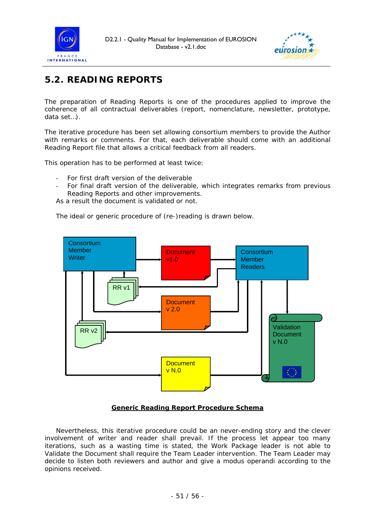



# *5.2. READING REPORTS*

The preparation of Reading Reports is one of the procedures applied to improve the coherence of all contractual deliverables (report, nomenclature, newsletter, prototype, data set…).

The iterative procedure has been set allowing consortium members to provide the Author with remarks or comments. For that, each deliverable should come with an additional *Reading Report* file that allows a critical feedback from all readers.

This operation has to be performed at least twice:

- For first draft version of the deliverable
- For final draft version of the deliverable, which integrates remarks from previous *Reading Reports* and other improvements.

As a result the document is validated or not.

The ideal or generic procedure of (re-)reading is drawn below.



#### <sup>U</sup>*Generic Reading Report Procedure Schema*

Nevertheless, this iterative procedure could be an never-ending story and the clever involvement of writer and reader shall prevail. If the process let appear too many iterations, such as a wasting time is stated, the Work Package leader is not able to Validate the Document shall require the Team Leader intervention. The Team Leader may decide to listen both reviewers and author and give a *modus operandi* according to the opinions received.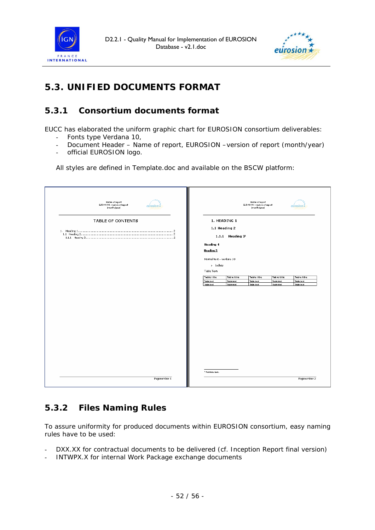



# *5.3. UNIFIED DOCUMENTS FORMAT*

## **5.3.1 Consortium documents format**

EUCC has elaborated the uniform graphic chart for EUROSION consortium deliverables:

- Fonts type Verdana 10,
- Document Header Name of report, EUROSION –version of report (month/year)
- official EUROSION logo.

All styles are defined in Template.doc and available on the BSCW platform:

| Name of report<br>BJROSION-vestion of report<br>(month/year) | $eurosion \star$ |                                                                                                                                                           |                                                                                  | Name of report<br>BJROSION-version of report<br>(month/year) |                                                 | $eurosion*$                                     |
|--------------------------------------------------------------|------------------|-----------------------------------------------------------------------------------------------------------------------------------------------------------|----------------------------------------------------------------------------------|--------------------------------------------------------------|-------------------------------------------------|-------------------------------------------------|
| TABLE OF CONTENTS                                            |                  | 1.1 Heading 2<br><b>Heading 4</b><br><b>Heading 5</b><br>Normal text - verdana 10<br>> bullets<br>Table Text:<br>Table title<br>Table text:<br>Tasle cext | 1. HEADING 1<br>$1.1.1$ Heading $31$<br>Table title<br>Table cest:<br>Table cent | <b>Table title</b><br>Taple text<br>Table cext:              | <b>Table title</b><br>Table coxx<br>Table cext: | <b>Table title</b><br>Taple cest:<br>Table cext |
|                                                              |                  | Footnote text.                                                                                                                                            |                                                                                  |                                                              |                                                 |                                                 |

### **5.3.2 Files Naming Rules**

To assure uniformity for produced documents within EUROSION consortium, easy naming rules have to be used:

- DXX.XX for contractual documents to be delivered (cf. Inception Report final version)
- INTWPX.X for internal Work Package exchange documents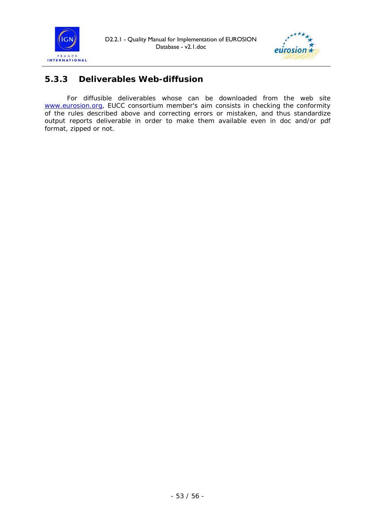



## **5.3.3 Deliverables Web-diffusion**

For diffusible deliverables whose can be downloaded from the web site www.eurosion.org, EUCC consortium member's aim consists in checking the conformity of the rules described above and correcting errors or mistaken, and thus standardize output reports deliverable in order to make them available even in doc and/or pdf format, zipped or not.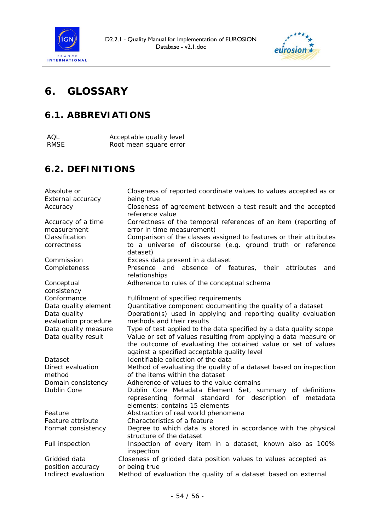



# **6. GLOSSARY**

# *6.1. ABBREVIATIONS*

| AOL  | Acceptable quality level |
|------|--------------------------|
| RMSE | Root mean square error   |

# *6.2. DEFINITIONS*

| Absolute or               | Closeness of reported coordinate values to values accepted as or                                                                                                                  |
|---------------------------|-----------------------------------------------------------------------------------------------------------------------------------------------------------------------------------|
| External accuracy         | being true                                                                                                                                                                        |
| Accuracy                  | Closeness of agreement between a test result and the accepted<br>reference value                                                                                                  |
| Accuracy of a time        | Correctness of the temporal references of an item (reporting of                                                                                                                   |
| measurement               | error in time measurement)                                                                                                                                                        |
| Classification            | Comparison of the classes assigned to features or their attributes                                                                                                                |
| correctness               | to a universe of discourse (e.g. ground truth or reference<br>dataset)                                                                                                            |
| Commission                | Excess data present in a dataset                                                                                                                                                  |
| Completeness              | Presence and absence of features, their<br>attributes<br>and<br>relationships                                                                                                     |
| Conceptual<br>consistency | Adherence to rules of the conceptual schema                                                                                                                                       |
| Conformance               | Fulfilment of specified requirements                                                                                                                                              |
| Data quality element      | Quantitative component documenting the quality of a dataset                                                                                                                       |
| Data quality              | Operation(s) used in applying and reporting quality evaluation                                                                                                                    |
| evaluation procedure      | methods and their results                                                                                                                                                         |
| Data quality measure      | Type of test applied to the data specified by a data quality scope                                                                                                                |
| Data quality result       | Value or set of values resulting from applying a data measure or<br>the outcome of evaluating the obtained value or set of values<br>against a specified acceptable quality level |
| Dataset                   | Identifiable collection of the data                                                                                                                                               |
| Direct evaluation         | Method of evaluating the quality of a dataset based on inspection                                                                                                                 |
| method                    | of the items within the dataset                                                                                                                                                   |
| Domain consistency        | Adherence of values to the value domains                                                                                                                                          |
| Dublin Core               | Dublin Core Metadata Element Set, summary of definitions<br>representing formal standard for description of metadata<br>elements; contains 15 elements                            |
| Feature                   | Abstraction of real world phenomena                                                                                                                                               |
| Feature attribute         | Characteristics of a feature                                                                                                                                                      |
| Format consistency        | Degree to which data is stored in accordance with the physical<br>structure of the dataset                                                                                        |
| Full inspection           | Inspection of every item in a dataset, known also as 100%<br>inspection                                                                                                           |
| Gridded data              | Closeness of gridded data position values to values accepted as                                                                                                                   |
| position accuracy         | or being true                                                                                                                                                                     |
| Indirect evaluation       | Method of evaluation the quality of a dataset based on external                                                                                                                   |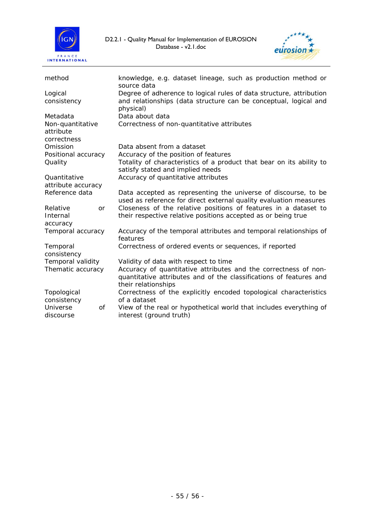



| method                                       | knowledge, e.g. dataset lineage, such as production method or                                                                                                       |
|----------------------------------------------|---------------------------------------------------------------------------------------------------------------------------------------------------------------------|
| Logical<br>consistency                       | source data<br>Degree of adherence to logical rules of data structure, attribution<br>and relationships (data structure can be conceptual, logical and<br>physical) |
| Metadata                                     | Data about data                                                                                                                                                     |
| Non-quantitative<br>attribute<br>correctness | Correctness of non-quantitative attributes                                                                                                                          |
| Omission                                     | Data absent from a dataset                                                                                                                                          |
| Positional accuracy                          | Accuracy of the position of features                                                                                                                                |
| Quality                                      | Totality of characteristics of a product that bear on its ability to<br>satisfy stated and implied needs                                                            |
| Quantitative                                 | Accuracy of quantitative attributes                                                                                                                                 |
| attribute accuracy                           |                                                                                                                                                                     |
| Reference data                               | Data accepted as representing the universe of discourse, to be<br>used as reference for direct external quality evaluation measures                                 |
| Relative<br><b>or</b>                        | Closeness of the relative positions of features in a dataset to                                                                                                     |
| Internal<br>accuracy                         | their respective relative positions accepted as or being true                                                                                                       |
| Temporal accuracy                            | Accuracy of the temporal attributes and temporal relationships of<br>features                                                                                       |
| Temporal                                     | Correctness of ordered events or sequences, if reported                                                                                                             |
| consistency                                  |                                                                                                                                                                     |
| Temporal validity                            | Validity of data with respect to time                                                                                                                               |
| Thematic accuracy                            | Accuracy of quantitative attributes and the correctness of non-<br>quantitative attributes and of the classifications of features and<br>their relationships        |
| Topological                                  | Correctness of the explicitly encoded topological characteristics                                                                                                   |
| consistency                                  | of a dataset                                                                                                                                                        |
| Universe<br><b>of</b><br>discourse           | View of the real or hypothetical world that includes everything of<br>interest (ground truth)                                                                       |